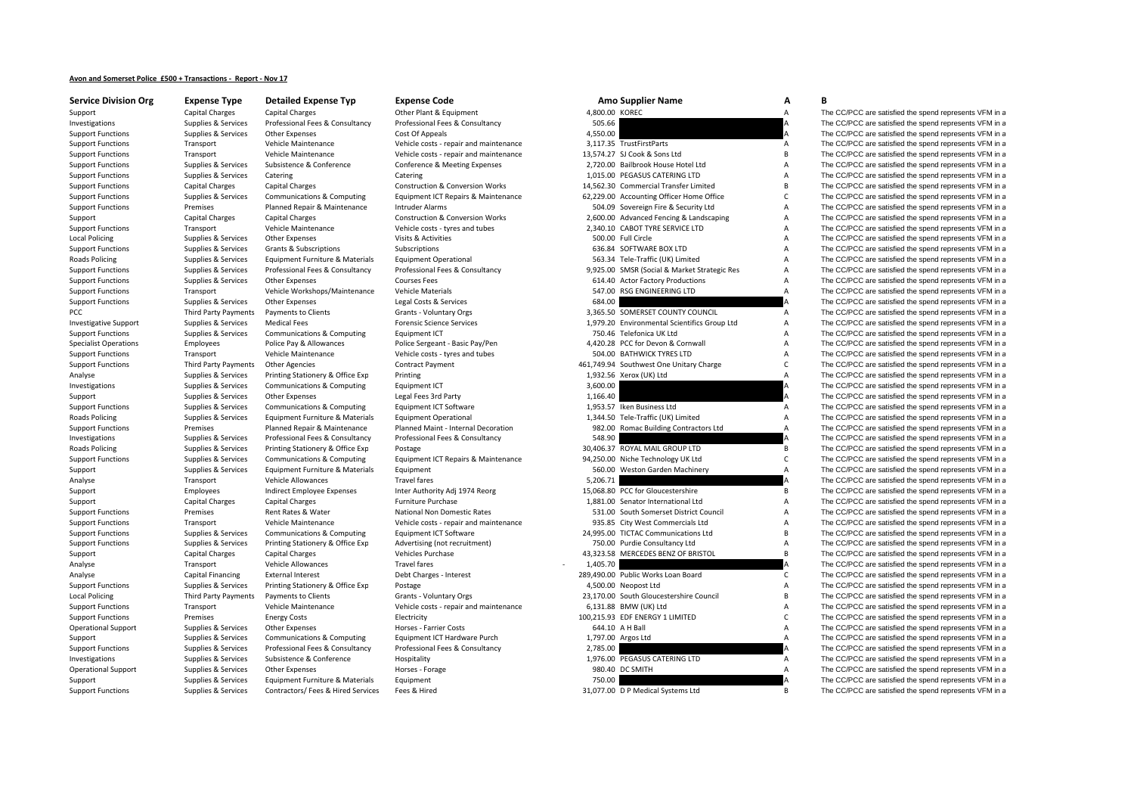## **Avon and Somerset Police £500 <sup>+</sup> Transactions ‐ Report ‐ Nov 17**

| <b>Service Division Org</b>         |
|-------------------------------------|
| Support                             |
| Investigations                      |
| <b>Support Functions</b>            |
| <b>Support Functions</b>            |
| <b>Support Functions</b>            |
| <b>Support Functions</b>            |
| <b>Support Functions</b>            |
| <b>Support Functions</b>            |
| <b>Support Functions</b>            |
| <b>Support Functions</b>            |
| Support                             |
| <b>Support Functions</b>            |
| <b>Local Policing</b>               |
| <b>Support Functions</b>            |
| <b>Roads Policing</b>               |
| <b>Support Functions</b>            |
| <b>Support Functions</b>            |
| <b>Support Functions</b>            |
| <b>Support Functions</b>            |
| PCC                                 |
| <b>Investigative Support</b>        |
| <b>Support Functions</b>            |
| <b>Specialist Operations</b>        |
| <b>Support Functions</b>            |
| <b>Support Functions</b>            |
| Analyse                             |
| Investigations                      |
| Support                             |
| <b>Support Functions</b>            |
| <b>Roads Policing</b>               |
| <b>Support Functions</b>            |
| Investigations                      |
| <b>Roads Policing</b>               |
| <b>Support Functions</b>            |
| Support                             |
| Analyse                             |
| Support                             |
|                                     |
| Support<br><b>Support Functions</b> |
| <b>Support Functions</b>            |
| <b>Support Functions</b>            |
|                                     |
| <b>Support Functions</b>            |
| Support                             |
| Analyse                             |
| Analyse                             |
| <b>Support Functions</b>            |
| <b>Local Policing</b>               |
| <b>Support Functions</b>            |
| <b>Support Functions</b>            |
| <b>Operational Support</b>          |
| Support                             |
| <b>Support Functions</b>            |
| Investigations                      |
| <b>Operational Support</b>          |
| Support                             |

| Experise Type               | Detailed experise Typ                        | <b>Experise Code</b>                              |                | Allio Supplier Natrie                                                        | A              |                                                                                                                  |
|-----------------------------|----------------------------------------------|---------------------------------------------------|----------------|------------------------------------------------------------------------------|----------------|------------------------------------------------------------------------------------------------------------------|
| Capital Charges             | <b>Capital Charges</b>                       | Other Plant & Equipment                           | 4,800.00 KOREC |                                                                              | Α              | The CC/PCC are satisfied the spend represents VFM in a                                                           |
| Supplies & Services         | Professional Fees & Consultancy              | Professional Fees & Consultancy                   | 505.66         |                                                                              |                | The CC/PCC are satisfied the spend represents VFM in a                                                           |
| Supplies & Services         | Other Expenses                               | Cost Of Appeals                                   | 4,550.00       |                                                                              |                | The CC/PCC are satisfied the spend represents VFM in a                                                           |
| Transport                   | Vehicle Maintenance                          | Vehicle costs - repair and maintenance            |                | 3,117.35 TrustFirstParts                                                     | А              | The CC/PCC are satisfied the spend represents VFM in a                                                           |
| Transport                   | Vehicle Maintenance                          | Vehicle costs - repair and maintenance            |                | 13,574.27 SJ Cook & Sons Ltd                                                 | B              | The CC/PCC are satisfied the spend represents VFM in a                                                           |
| Supplies & Services         | Subsistence & Conference                     | Conference & Meeting Expenses                     |                | 2,720.00 Bailbrook House Hotel Ltd                                           | А              | The CC/PCC are satisfied the spend represents VFM in a                                                           |
| Supplies & Services         | Catering                                     | Catering                                          |                | 1,015.00 PEGASUS CATERING LTD                                                | А              | The CC/PCC are satisfied the spend represents VFM in a                                                           |
| <b>Capital Charges</b>      | <b>Capital Charges</b>                       | <b>Construction &amp; Conversion Works</b>        |                | 14,562.30 Commercial Transfer Limited                                        | В              | The CC/PCC are satisfied the spend represents VFM in a                                                           |
| Supplies & Services         | Communications & Computing                   | Equipment ICT Repairs & Maintenance               |                | 62,229.00 Accounting Officer Home Office                                     | c              | The CC/PCC are satisfied the spend represents VFM in a                                                           |
| Premises                    | Planned Repair & Maintenance                 | Intruder Alarms                                   |                | 504.09 Sovereign Fire & Security Ltd                                         | A              | The CC/PCC are satisfied the spend represents VFM in a                                                           |
| <b>Capital Charges</b>      | <b>Capital Charges</b>                       | Construction & Conversion Works                   |                | 2,600.00 Advanced Fencing & Landscaping                                      | А              | The CC/PCC are satisfied the spend represents VFM in a                                                           |
| Transport                   | Vehicle Maintenance                          | Vehicle costs - tyres and tubes                   |                | 2,340.10 CABOT TYRE SERVICE LTD                                              | А              | The CC/PCC are satisfied the spend represents VFM in a                                                           |
| Supplies & Services         | Other Expenses                               | Visits & Activities                               |                | 500.00 Full Circle                                                           | А              | The CC/PCC are satisfied the spend represents VFM in a                                                           |
| Supplies & Services         | Grants & Subscriptions                       | Subscriptions                                     |                | 636.84 SOFTWARE BOX LTD                                                      | А              | The CC/PCC are satisfied the spend represents VFM in a                                                           |
| Supplies & Services         | Equipment Furniture & Materials              | <b>Equipment Operational</b>                      |                | 563.34 Tele-Traffic (UK) Limited                                             | А              | The CC/PCC are satisfied the spend represents VFM in a                                                           |
| Supplies & Services         | Professional Fees & Consultancy              | Professional Fees & Consultancy                   |                | 9,925.00 SMSR (Social & Market Strategic Res                                 | А              | The CC/PCC are satisfied the spend represents VFM in a                                                           |
| Supplies & Services         | Other Expenses                               | <b>Courses Fees</b>                               |                | 614.40 Actor Factory Productions                                             | A              | The CC/PCC are satisfied the spend represents VFM in a                                                           |
| Transport                   | Vehicle Workshops/Maintenance                | <b>Vehicle Materials</b>                          |                | 547.00 RSG ENGINEERING LTD                                                   | А              | The CC/PCC are satisfied the spend represents VFM in a                                                           |
| Supplies & Services         | Other Expenses                               | Legal Costs & Services                            | 684.00         |                                                                              |                | The CC/PCC are satisfied the spend represents VFM in a                                                           |
| <b>Third Party Payments</b> | Payments to Clients                          | Grants - Voluntary Orgs                           |                | 3,365.50 SOMERSET COUNTY COUNCIL                                             | Α              | The CC/PCC are satisfied the spend represents VFM in a                                                           |
| Supplies & Services         | <b>Medical Fees</b>                          | <b>Forensic Science Services</b>                  |                | 1,979.20 Environmental Scientifics Group Ltd                                 | А              | The CC/PCC are satisfied the spend represents VFM in a                                                           |
| Supplies & Services         | Communications & Computing                   | Equipment ICT                                     |                | 750.46 Telefonica UK Ltd                                                     | A              | The CC/PCC are satisfied the spend represents VFM in a                                                           |
| Employees                   | Police Pay & Allowances                      | Police Sergeant - Basic Pay/Pen                   |                | 4,420.28 PCC for Devon & Cornwall                                            | А              | The CC/PCC are satisfied the spend represents VFM in a                                                           |
| Transport                   | Vehicle Maintenance                          | Vehicle costs - tyres and tubes                   |                | 504.00 BATHWICK TYRES LTD                                                    | Α              | The CC/PCC are satisfied the spend represents VFM in a                                                           |
| Third Party Payments        | Other Agencies                               | Contract Payment                                  |                | 461,749.94 Southwest One Unitary Charge                                      | C              | The CC/PCC are satisfied the spend represents VFM in a                                                           |
| Supplies & Services         | Printing Stationery & Office Exp             | Printing                                          |                | 1,932.56 Xerox (UK) Ltd                                                      | А              | The CC/PCC are satisfied the spend represents VFM in a                                                           |
| Supplies & Services         | Communications & Computing                   | Equipment ICT                                     | 3,600.00       |                                                                              | А              | The CC/PCC are satisfied the spend represents VFM in a                                                           |
| Supplies & Services         | Other Expenses                               | Legal Fees 3rd Party                              | 1,166.40       |                                                                              |                | The CC/PCC are satisfied the spend represents VFM in a                                                           |
| Supplies & Services         | Communications & Computing                   | Equipment ICT Software                            |                | 1,953.57 Iken Business Ltd                                                   | А              | The CC/PCC are satisfied the spend represents VFM in a                                                           |
| Supplies & Services         | Equipment Furniture & Materials              | <b>Equipment Operational</b>                      |                | 1,344.50 Tele-Traffic (UK) Limited                                           | Α              | The CC/PCC are satisfied the spend represents VFM in a                                                           |
| Premises                    | Planned Repair & Maintenance                 | Planned Maint - Internal Decoration               |                | 982.00 Romac Building Contractors Ltd                                        | Α              | The CC/PCC are satisfied the spend represents VFM in a                                                           |
| Supplies & Services         | Professional Fees & Consultancy              | Professional Fees & Consultancy                   | 548.90         |                                                                              |                | The CC/PCC are satisfied the spend represents VFM in a                                                           |
| Supplies & Services         | Printing Stationery & Office Exp             | Postage                                           |                | 30,406.37 ROYAL MAIL GROUP LTD                                               | В              | The CC/PCC are satisfied the spend represents VFM in a                                                           |
| Supplies & Services         | Communications & Computing                   | Equipment ICT Repairs & Maintenance               |                | 94,250.00 Niche Technology UK Ltd                                            | C              | The CC/PCC are satisfied the spend represents VFM in a                                                           |
| Supplies & Services         | Equipment Furniture & Materials              | Equipment                                         |                | 560.00 Weston Garden Machinery                                               | А              | The CC/PCC are satisfied the spend represents VFM in a                                                           |
| Transport                   | Vehicle Allowances                           | <b>Travel fares</b>                               | 5,206.71       |                                                                              |                | The CC/PCC are satisfied the spend represents VFM in a                                                           |
|                             |                                              |                                                   |                | 15,068.80 PCC for Gloucestershire                                            | B              | The CC/PCC are satisfied the spend represents VFM in a                                                           |
| Employees                   | Indirect Employee Expenses                   | Inter Authority Adj 1974 Reorg                    |                |                                                                              |                |                                                                                                                  |
| Capital Charges<br>Premises | <b>Capital Charges</b><br>Rent Rates & Water | Furniture Purchase<br>National Non Domestic Rates |                | 1,881.00 Senator International Ltd<br>531.00 South Somerset District Council | А<br>A         | The CC/PCC are satisfied the spend represents VFM in a<br>The CC/PCC are satisfied the spend represents VFM in a |
| Transport                   | Vehicle Maintenance                          | Vehicle costs - repair and maintenance            |                | 935.85 City West Commercials Ltd                                             | А              | The CC/PCC are satisfied the spend represents VFM in a                                                           |
|                             |                                              |                                                   |                | 24,995.00 TICTAC Communications Ltd                                          | B              | The CC/PCC are satisfied the spend represents VFM in a                                                           |
| Supplies & Services         | Communications & Computing                   | Equipment ICT Software                            |                |                                                                              |                |                                                                                                                  |
| Supplies & Services         | Printing Stationery & Office Exp             | Advertising (not recruitment)                     |                | 750.00 Purdie Consultancy Ltd                                                | А<br>B         | The CC/PCC are satisfied the spend represents VFM in a                                                           |
| Capital Charges             | <b>Capital Charges</b>                       | Vehicles Purchase                                 |                | 43,323.58 MERCEDES BENZ OF BRISTOL                                           |                | The CC/PCC are satisfied the spend represents VFM in a                                                           |
| Transport                   | Vehicle Allowances                           | Travel fares                                      | 1,405.70       |                                                                              |                | The CC/PCC are satisfied the spend represents VFM in a                                                           |
| Capital Financing           | <b>External Interest</b>                     | Debt Charges - Interest                           |                | 289,490.00 Public Works Loan Board                                           | c              | The CC/PCC are satisfied the spend represents VFM in a                                                           |
| Supplies & Services         | Printing Stationery & Office Exp             | Postage                                           |                | 4,500.00 Neopost Ltd                                                         | $\overline{A}$ | The CC/PCC are satisfied the spend represents VFM in a                                                           |
| Third Party Payments        | Payments to Clients                          | Grants - Voluntary Orgs                           |                | 23,170.00 South Gloucestershire Council                                      | В              | The CC/PCC are satisfied the spend represents VFM in a                                                           |
| Transport                   | Vehicle Maintenance                          | Vehicle costs - repair and maintenance            |                | 6,131.88 BMW (UK) Ltd                                                        | А              | The CC/PCC are satisfied the spend represents VFM in a                                                           |
| Premises                    | <b>Energy Costs</b>                          | Electricity                                       |                | 100,215.93 EDF ENERGY 1 LIMITED                                              | C              | The CC/PCC are satisfied the spend represents VFM in a                                                           |
| Supplies & Services         | Other Expenses                               | Horses - Farrier Costs                            |                | 644.10 A H Ball                                                              | А              | The CC/PCC are satisfied the spend represents VFM in a                                                           |
| Supplies & Services         | Communications & Computing                   | Equipment ICT Hardware Purch                      |                | 1,797.00 Argos Ltd                                                           | $\overline{A}$ | The CC/PCC are satisfied the spend represents VFM in a                                                           |
| Supplies & Services         | Professional Fees & Consultancy              | Professional Fees & Consultancy                   | 2,785.00       |                                                                              |                | The CC/PCC are satisfied the spend represents VFM in a                                                           |
| Supplies & Services         | Subsistence & Conference                     | Hospitality                                       |                | 1,976.00 PEGASUS CATERING LTD                                                | A              | The CC/PCC are satisfied the spend represents VFM in a                                                           |
| Supplies & Services         | Other Expenses                               | Horses - Forage                                   |                | 980.40 DC SMITH                                                              | $\overline{A}$ | The CC/PCC are satisfied the spend represents VFM in a                                                           |
| Supplies & Services         | <b>Faujoment Furniture &amp; Materials</b>   | Fauinment                                         | 750.00         |                                                                              |                | The CC/PCC are satisfied the spend represents VFM in a                                                           |

Supplies & Services Professional Fees & Consultancy Professional Fees & Consultancy 305.66 A The CC/PCC are satisfied the spend represents VFM in a Supplies & Services Other Expenses Cost Of Appeals Cost Of Appeals 4,550.00 A The CC/PCC are satisfied the spend represents VFM in a Transport Vehicle Maintenance Vehicle costs - repair and maintenance 3,117.35 TrustFirstParts A The CC/PCC are satisfied the spend represents VFM in a Transport Vehicle Maintenance Vehicle costs ‐ repair and maintenance 13,574.27 SJ Cook & Sons Ltd B The CC/PCC are satisfied the spend represents VFM in a Supplies & Services Subsistence & Conference Conference & Meeting Expenses 2,720.00 Bailbrook House Hotel Ltd A The CC/PCC are satisfied the spend represents VFM in a Supplies & Services Catering Catering Catering Catering Catering Catering Catering 1,015.00 PEGASUS CATERING LTD A The CC/PCC are satisfied the spend represents VFM in a Support Functions Capital Charges Capital Charges Constructions Conversion Works 14,562.30 Commercial Transfer Limited B The CC/PCC are satisfied the spend represents VFM in a support of the spend represents VFM in a suppo Supplies & Services Communications & Computing Functions Functions Equipment ICT Repairs & Maintenance 62,229.00 Accounting Officer Home Office C The CC/PCC are satisfied the spend represents VFM in a Premises Planned Repair & Maintenance Intruder Alarms Support Functions 504.09 Sovereign Fire & Security Ltd A The CC/PCC are satisfied the spend represents VFM in a Capital Charges Capital Charges Construction & Conversion Works 2,600.00 Advanced Fencing & Landscaping A The CC/PCC are satisfied the spend represents VFM in a Transport Vehicle Maintenance Vehicle costs – tyres and tubes 2,340.10 CABOT TYRE SERVICE LTD A The CC/PCC are satisfied the spend represents VFM in a Policing Supplies & Services Other Expenses Visits & Activities 500.00 Full Circle A The CC/PCC are satisfied the spend represents VFM in a Supplies & Services Grants & Subscriptions Subscriptions Subscriptions Subscriptions Subscriptions Subscriptions CS COPTWARE BOX LTD A The CC/PCC are satisfied the spend represents VFM in a Policing Supplies & Services Equipment Furniture & Materials Equipment Operational 563.34 Tele‐Traffic (UK) Limited A The CC/PCC are satisfied the spend represents VFM in a Supplies & Services Professional Fees & Consultancy Professional Fees & Consultancy 9,925.00 SMSR (Social & Market Strategic Res A The CC/PCC are satisfied the spend represents VFM in a Supplies & Services Other Expenses Courses Fees Courses Fees 614.40 Actor Factory Productions A The CC/PCC are satisfied the spend represents VFM in a Support Support Transport Vehicle Workshops/Maintenance Vehicle Materials vehicle Materials 547.00 RSG ENGINEERING LTD A The CC/PCC are satisfied the spend represents VFM in a Supplies & Services Legal Costs & Services 684 Supplies & Services Other Expenses CHM in a Legal Costs & Services Changes Costs A Services 684.00 A The CC/PCC are satisfied the spend represents VFM in a Party Payments Article 1991 Service of Clients School States County Council Council and The CC/PCC are satisfied the spend represents VFM in a service of the spend represents VFM in a service of the spend represents VFM in Supplies & Services Medical Fees **Forensic Science Services** 1,979.20 Environmental Scientifics Group Ltd A The CC/PCC are satisfied the spend represents VFM in a Supplies & Services Communications & Computing Equipment ICT equipment ICT and The CO/PCC are satisfied the spend represents VFM in a The CO/PCC are satisfied the spend represents VFM in a The CO/PCC are satisfied the spen Employees Police Pay & Allowances Police Sergeant - Basic Pay/Pen 4,420.28 PCC for Devon & Cornwall A The CC/PCC are satisfied the spend represents VFM in a Transport Vehicle Maintenance Vehicle costs ‐ tyres and tubes 504.00 BATHWICK TYRES LTD A The CC/PCC are satisfied the spend represents VFM in a Third Party Payments Other Agencies Contract Payment Contract Payment 461,749.94 Southwest One Unitary Charge C The CC/PCC are satisfied the spend represents VFM in a Supplies & Services Printing Stationery & Office Exp Printing Printing 1,932.56 Xerox (UK) Ltd A The CC/PCC are satisfied the spend represents VFM in a Supplies & Services Communications & Computing Equipment ICT 2000 3,600.00 3,600.00 A The CC/PCC are satisfied the spend represents VFM in a Supplies & Services Other Expenses Legal Fees 3rd Party 1,166.40 A The CC/PCC are satisfied the spend represents VFM in a Supplies & Services Communications & Computing Equipment ICT Software 1,953.57 Iken Business Ltd A The CC/PCC are satisfied the spend represents VFM in a Policing Supplies & Services Equipment Furniture & Materials Equipment Operational 1,344.50 Tele‐Traffic (UK) Limited A The CC/PCC are satisfied the spend represents VFM in a Premises Planned Repair & Maintenance Planned Maint - Internal Decoration 982.00 Romac Building Contractors Ltd A The CC/PCC are satisfied the spend represents VFM in a Supplies & Services Professional Fees & Consultancy Professional Fees & Consultancy S48.90 A The CC/PCC are satisfied the spend represents VFM in a Supplies & Services Printing Stationery & Office Exp Postage Principal Policing Policing Principal Supplies and The CC/PCC are satisfied the spend represents VFM in a Supplies & Services Communications & Computing Equipment ICT Repairs & Maintenance 94,250.00 Niche Technology UK Ltd C The CC/PCC are satisfied the spend represents VFM in a Supplies & Services Equipment Furniture & Materials Equipment Equipment Equipment S60.00 Weston Garden Machinery A The CC/PCC are satisfied the spend represents VFM in a Travel fares a Travel fares STAN S706.71 STAN STAND Transport Vehicle Allowances Travel fares Travel fares and the S,206.71 A The CC/PCC are satisfied the spend represents VFM in a Employees Indirect Employee Expenses Inter Authority Adj 1974 Reorg 15,068.80 PCC for Gloucestershire B The CC/PCC are satisfied the spend represents VFM in a Capital Charges Capital Charges Capital Charges Furniture Purchase 1,881.00 Senator International Ltd A The CC/PCC are satisfied the spend represents VFM in a Premises Functions Rent Rates & Water Mational Non Domestic Rates Functions Counctions Council A The CC/PCC are satisfied the spend represents VFM in a Transport Vehicle Maintenance Vehicle costs ‐ repair and maintenance 935.85 City West Commercials Ltd A The CC/PCC are satisfied the spend represents VFM in a Supplies & Services Communications & Computing Faultoment ICT Software 24,995.00 TICTAC Communications Ltd B The CC/PCC are satisfied the spend represents VFM in a Supplies & Services Printing Stationery & Office Exp Advertising (not recruitment) 750.00 Purdie Consultancy Ltd A The CC/PCC are satisfied the spend represents VFM in a Capital Charges Capital Charges Vehicles Purchase Vehicles Purchase 43,323.58 MERCEDES BENZ OF BRISTOL B The CC/PCC are satisfied the spend represents VFM in a Transport Vehicle Allowances Travel fares Travel fares 1,405.70 1,405.70 A The CC/PCC are satisfied the spend represents VFM in a Capital Financing External Interest Debt Charges - Interest 289,490.00 Public Works Loan Board C The CC/PCC are satisfied the spend represents VFM in a Supplies & Services Printing Stationery & Office Exp Postage 4,500,00 Neopost Ltd 4,500,00 Neopost Ltd A The CC/PCC are satisfied the spend represents VFM in a Policing Third Party Payments Payments to Clients Grants - Voluntary Orgs 23,170.00 South Gloucestershire Council B The CC/PCC are satisfied the spend represents VFM in a Transport Vehicle Maintenance Vehicle costs - repair and maintenance 6,131.88 BMW (UK) Ltd A The CC/PCC are satisfied the spend represents VFM in a Premises Energy Costs Electricity Electricity Electricity and the CO/PCC are satisfied the spend represents VFM in a Opplies & Services Other Expenses Support Support Support Support The Corporational Support Support Support Support Support The Corporation of the Services of the Services of The Corporations of The Corporations & Computin Supplies & Services Communications & Computing Equipment ICT Hardware Purch 1,797.00 Argos Ltd 1,797.00 Argos Ltd A The CC/PCC are satisfied the spend represents VFM in a Supplies & Services Professional Fees & Consultancy Professional Fees & Consultancy 2,785.00 2,785.00 2,785.00 A The CC/PCC are satisfied the spend represents VFM in a Support Function Support Function of the Services Subs Subsistence & Conference Hospitality Hospitality 1,976.00 PEGASUS CATERING LTD A The CC/PCC are satisfied the spend represents VFM in a Opplies & Services Other Expenses Horses Forage Forage and Support CO/PCC are satisfied the spend represents VFM in a very serve of the Support of the CO/PCC are satisfied the spend represents VFM in a very service of the Supplies & Services Equipment Furniture & Materials Equipment Furniture & Materials Equipment Furniture & Materials Equipment Furniture & Materials Equipment 750.00 The CO/PCC are satisfied the spend represents VFM in a su Support Functions Supplies & Services Contractors/ Fees & Hired Services Fees & Hired 31,077.00 D P Medical Systems Ltd B The CC/PCC are satisfied the spend represents VFM in a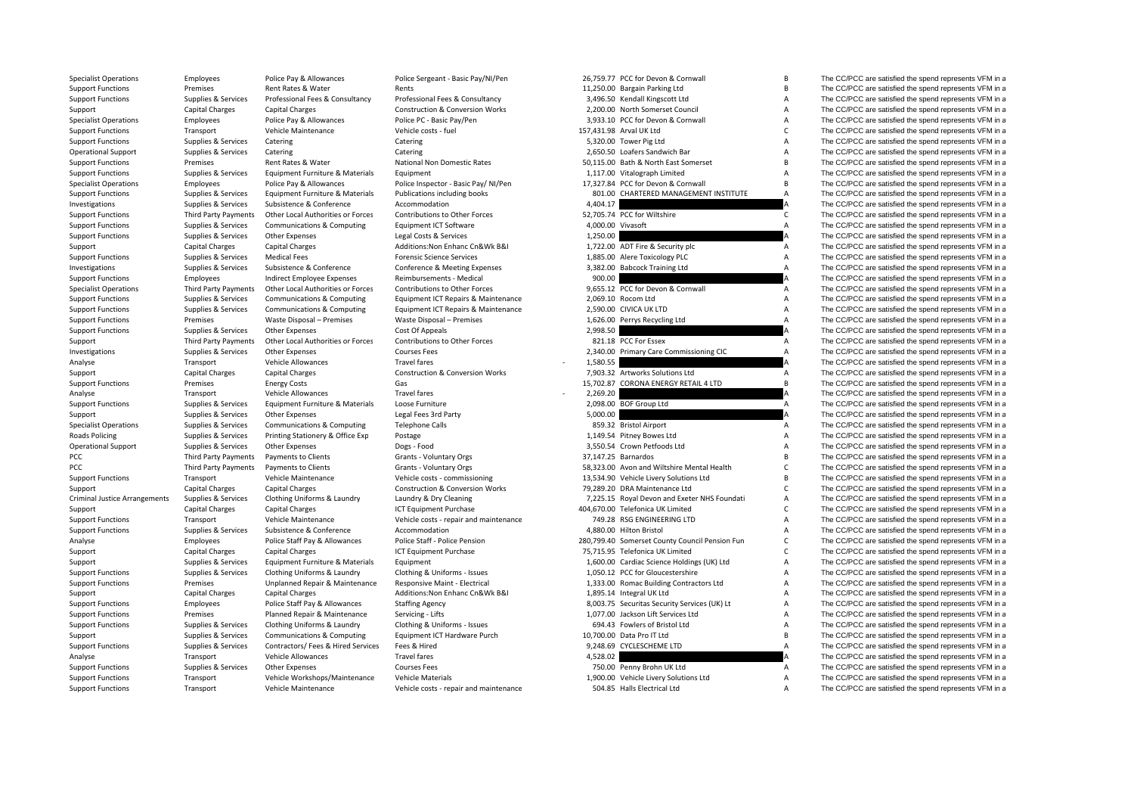| <b>Specialist Operations</b>         | Employees                   | Police Pay & Allowances            | Police Sergeant - Basic Pay/NI/Pen         |                   | 26,759.77 PCC for Devon & Cornwall             | B                         | The CC/PCC are satisfied the spend represents VFM in a |
|--------------------------------------|-----------------------------|------------------------------------|--------------------------------------------|-------------------|------------------------------------------------|---------------------------|--------------------------------------------------------|
| <b>Support Functions</b>             | Premises                    | Rent Rates & Water                 | Rents                                      |                   | 11,250.00 Bargain Parking Ltd                  | B                         | The CC/PCC are satisfied the spend represents VFM in a |
| <b>Support Functions</b>             | Supplies & Services         | Professional Fees & Consultancy    | Professional Fees & Consultancy            |                   | 3,496.50 Kendall Kingscott Ltd                 | $\overline{A}$            | The CC/PCC are satisfied the spend represents VFM in a |
| Support                              | <b>Capital Charges</b>      | <b>Capital Charges</b>             | <b>Construction &amp; Conversion Works</b> |                   | 2,200.00 North Somerset Council                | A                         | The CC/PCC are satisfied the spend represents VFM in a |
| <b>Specialist Operations</b>         | Employees                   | Police Pay & Allowances            | Police PC - Basic Pay/Pen                  |                   | 3,933.10 PCC for Devon & Cornwall              | $\overline{A}$            | The CC/PCC are satisfied the spend represents VFM in a |
| <b>Support Functions</b>             | Transport                   | Vehicle Maintenance                | Vehicle costs - fuel                       |                   | 157,431.98 Arval UK Ltd                        | $\mathsf{C}$              | The CC/PCC are satisfied the spend represents VFM in a |
| <b>Support Functions</b>             | Supplies & Services         | Catering                           | Catering                                   |                   | 5,320.00 Tower Pig Ltd                         | $\overline{A}$            | The CC/PCC are satisfied the spend represents VFM in a |
| <b>Operational Support</b>           | Supplies & Services         | Catering                           | Catering                                   |                   | 2,650.50 Loafers Sandwich Bar                  | $\overline{A}$            | The CC/PCC are satisfied the spend represents VFM in a |
| <b>Support Functions</b>             | Premises                    | Rent Rates & Water                 | National Non Domestic Rates                |                   | 50.115.00 Bath & North East Somerset           | $\overline{B}$            | The CC/PCC are satisfied the spend represents VFM in a |
| <b>Support Functions</b>             | Supplies & Services         | Equipment Furniture & Materials    | Equipment                                  |                   | 1,117.00 Vitalograph Limited                   | $\Delta$                  | The CC/PCC are satisfied the spend represents VFM in a |
| <b>Specialist Operations</b>         | Employees                   | Police Pay & Allowances            | Police Inspector - Basic Pay/NI/Pen        |                   | 17,327.84 PCC for Devon & Cornwall             | $\overline{B}$            | The CC/PCC are satisfied the spend represents VFM in a |
| <b>Support Functions</b>             | Supplies & Services         | Equipment Furniture & Materials    | Publications including books               |                   | 801.00 CHARTERED MANAGEMENT INSTITUTE          | A                         | The CC/PCC are satisfied the spend represents VFM in a |
| Investigations                       | Supplies & Services         | Subsistence & Conference           | Accommodation                              | 4,404.17          |                                                |                           | The CC/PCC are satisfied the spend represents VFM in a |
| <b>Support Functions</b>             | Third Party Payments        | Other Local Authorities or Forces  | Contributions to Other Forces              |                   | 52,705.74 PCC for Wiltshire                    | $\mathsf{C}$              | The CC/PCC are satisfied the spend represents VFM in a |
| <b>Support Functions</b>             | Supplies & Services         | Communications & Computing         | <b>Equipment ICT Software</b>              | 4.000.00 Vivasoft |                                                | $\overline{A}$            | The CC/PCC are satisfied the spend represents VFM in a |
|                                      |                             | Other Expenses                     | Legal Costs & Services                     | 1,250.00          |                                                |                           | The CC/PCC are satisfied the spend represents VFM in a |
| <b>Support Functions</b>             | Supplies & Services         |                                    |                                            |                   |                                                |                           |                                                        |
| Support                              | Capital Charges             | Capital Charges                    | Additions: Non Enhanc Cn&Wk B&I            |                   | 1,722.00 ADT Fire & Security plc               | $\mathsf{A}$              | The CC/PCC are satisfied the spend represents VFM in a |
| <b>Support Functions</b>             | Supplies & Services         | <b>Medical Fees</b>                | <b>Forensic Science Services</b>           |                   | 1,885.00 Alere Toxicology PLC                  | $\overline{A}$            | The CC/PCC are satisfied the spend represents VFM in a |
| Investigations                       | Supplies & Services         | Subsistence & Conference           | Conference & Meeting Expenses              |                   | 3,382.00 Babcock Training Ltd                  | $\overline{A}$            | The CC/PCC are satisfied the spend represents VFM in a |
| <b>Support Functions</b>             | Employees                   | <b>Indirect Employee Expenses</b>  | Reimbursements - Medical                   | 900.00            |                                                |                           | The CC/PCC are satisfied the spend represents VFM in a |
| <b>Specialist Operations</b>         | Third Party Payments        | Other Local Authorities or Forces  | Contributions to Other Forces              |                   | 9,655.12 PCC for Devon & Cornwall              | Α                         | The CC/PCC are satisfied the spend represents VFM in a |
| <b>Support Functions</b>             | Supplies & Services         | Communications & Computing         | Equipment ICT Repairs & Maintenance        |                   | 2,069.10 Rocom Ltd                             | A                         | The CC/PCC are satisfied the spend represents VFM in a |
| <b>Support Functions</b>             | Supplies & Services         | Communications & Computing         | Equipment ICT Repairs & Maintenance        |                   | 2,590.00 CIVICA UK LTD                         | A                         | The CC/PCC are satisfied the spend represents VFM in a |
| <b>Support Functions</b>             | Premises                    | Waste Disposal - Premises          | Waste Disposal - Premises                  |                   | 1,626.00 Perrys Recycling Ltd                  | $\overline{A}$            | The CC/PCC are satisfied the spend represents VFM in a |
| <b>Support Functions</b>             | Supplies & Services         | Other Expenses                     | Cost Of Appeals                            | 2,998.50          |                                                |                           | The CC/PCC are satisfied the spend represents VFM in a |
| Support                              | <b>Third Party Payments</b> | Other Local Authorities or Forces  | Contributions to Other Forces              |                   | 821.18 PCC For Essex                           | $\overline{A}$            | The CC/PCC are satisfied the spend represents VFM in a |
| Investigations                       | Supplies & Services         | Other Expenses                     | <b>Courses Fees</b>                        |                   | 2,340.00 Primary Care Commissioning CIC        | A                         | The CC/PCC are satisfied the spend represents VFM in a |
| Analyse                              | Transport                   | Vehicle Allowances                 | <b>Travel fares</b>                        | 1,580.55          |                                                |                           | The CC/PCC are satisfied the spend represents VFM in a |
| Support                              | <b>Capital Charges</b>      | Capital Charges                    | <b>Construction &amp; Conversion Works</b> |                   | 7,903.32 Artworks Solutions Ltd                | $\overline{A}$            | The CC/PCC are satisfied the spend represents VFM in a |
| <b>Support Functions</b>             | Premises                    | <b>Energy Costs</b>                | Gas                                        |                   | 15,702.87 CORONA ENERGY RETAIL 4 LTD           | $\overline{B}$            | The CC/PCC are satisfied the spend represents VFM in a |
| Analyse                              | Transport                   | Vehicle Allowances                 | <b>Travel fares</b>                        | 2,269.20          |                                                |                           | The CC/PCC are satisfied the spend represents VFM in a |
| <b>Support Functions</b>             | Supplies & Services         | Equipment Furniture & Materials    | Loose Furniture                            |                   | 2,098.00 BOF Group Ltd                         | A                         | The CC/PCC are satisfied the spend represents VFM in a |
| Support                              | Supplies & Services         | <b>Other Expenses</b>              | Legal Fees 3rd Party                       | 5,000.00          |                                                |                           | The CC/PCC are satisfied the spend represents VFM in a |
| <b>Specialist Operations</b>         | Supplies & Services         | Communications & Computing         | <b>Telephone Calls</b>                     |                   | 859.32 Bristol Airport                         | Α                         | The CC/PCC are satisfied the spend represents VFM in a |
|                                      |                             |                                    |                                            |                   | 1,149.54 Pitney Bowes Ltd                      | $\overline{A}$            | The CC/PCC are satisfied the spend represents VFM in a |
| <b>Roads Policing</b>                | Supplies & Services         | Printing Stationery & Office Exp   | Postage                                    |                   | 3.550.54 Crown Petfoods Ltd                    | $\overline{A}$            |                                                        |
| <b>Operational Support</b>           | Supplies & Services         | Other Expenses                     | Dogs - Food                                |                   | 37.147.25 Barnardos                            | $\overline{B}$            | The CC/PCC are satisfied the spend represents VFM in a |
| PCC                                  | Third Party Payments        | <b>Payments to Clients</b>         | Grants - Voluntary Orgs                    |                   |                                                |                           | The CC/PCC are satisfied the spend represents VFM in a |
| PCC                                  | Third Party Payments        | Payments to Clients                | Grants - Voluntary Orgs                    |                   | 58,323.00 Avon and Wiltshire Mental Health     | $\mathsf{C}$              | The CC/PCC are satisfied the spend represents VFM in a |
| <b>Support Functions</b>             | Transport                   | Vehicle Maintenance                | Vehicle costs - commissioning              |                   | 13,534.90 Vehicle Livery Solutions Ltd         | $\mathsf{B}$              | The CC/PCC are satisfied the spend represents VFM in a |
| Support                              | Capital Charges             | <b>Capital Charges</b>             | <b>Construction &amp; Conversion Works</b> |                   | 79,289.20 DRA Maintenance Ltd                  | $\mathsf{C}$              | The CC/PCC are satisfied the spend represents VFM in a |
| <b>Criminal Justice Arrangements</b> | Supplies & Services         | Clothing Uniforms & Laundry        | Laundry & Dry Cleaning                     |                   | 7,225.15 Royal Devon and Exeter NHS Foundati   | $\overline{A}$            | The CC/PCC are satisfied the spend represents VFM in a |
| Support                              | <b>Capital Charges</b>      | <b>Capital Charges</b>             | <b>ICT Equipment Purchase</b>              |                   | 404,670.00 Telefonica UK Limited               | $\mathsf{C}$              | The CC/PCC are satisfied the spend represents VFM in a |
| <b>Support Functions</b>             | Transport                   | Vehicle Maintenance                | Vehicle costs - repair and maintenance     |                   | 749.28 RSG ENGINEERING LTD                     | $\overline{A}$            | The CC/PCC are satisfied the spend represents VFM in a |
| <b>Support Functions</b>             | Supplies & Services         | Subsistence & Conference           | Accommodation                              |                   | 4,880.00 Hilton Bristol                        | $\overline{A}$            | The CC/PCC are satisfied the spend represents VFM in a |
| Analyse                              | Employees                   | Police Staff Pay & Allowances      | Police Staff - Police Pension              |                   | 280,799.40 Somerset County Council Pension Fun | $\mathsf{C}$              | The CC/PCC are satisfied the spend represents VFM in a |
| Support                              | Capital Charges             | <b>Capital Charges</b>             | <b>ICT Equipment Purchase</b>              |                   | 75,715.95 Telefonica UK Limited                | $\mathsf{C}$              | The CC/PCC are satisfied the spend represents VFM in a |
| Support                              | Supplies & Services         | Equipment Furniture & Materials    | Equipment                                  |                   | 1,600.00 Cardiac Science Holdings (UK) Ltd     | $\overline{A}$            | The CC/PCC are satisfied the spend represents VFM in a |
| <b>Support Functions</b>             | Supplies & Services         | Clothing Uniforms & Laundry        | Clothing & Uniforms - Issues               |                   | 1,050.12 PCC for Gloucestershire               | $\boldsymbol{\mathsf{A}}$ | The CC/PCC are satisfied the spend represents VFM in a |
| <b>Support Functions</b>             | Premises                    | Unplanned Repair & Maintenance     | Responsive Maint - Electrical              |                   | 1,333.00 Romac Building Contractors Ltd        | A                         | The CC/PCC are satisfied the spend represents VFM in a |
| Support                              | <b>Capital Charges</b>      | <b>Capital Charges</b>             | Additions: Non Enhanc Cn&Wk B&I            |                   | 1,895.14 Integral UK Ltd                       | A                         | The CC/PCC are satisfied the spend represents VFM in a |
| <b>Support Functions</b>             | Employees                   | Police Staff Pay & Allowances      | <b>Staffing Agency</b>                     |                   | 8,003.75 Securitas Security Services (UK) Lt   | $\overline{A}$            | The CC/PCC are satisfied the spend represents VFM in a |
| <b>Support Functions</b>             | Premises                    | Planned Repair & Maintenance       | Servicing - Lifts                          |                   | 1,077.00 Jackson Lift Services Ltd             | $\overline{A}$            | The CC/PCC are satisfied the spend represents VFM in a |
| <b>Support Functions</b>             | Supplies & Services         | Clothing Uniforms & Laundry        | Clothing & Uniforms - Issues               |                   | 694.43 Fowlers of Bristol Ltd                  | $\overline{A}$            | The CC/PCC are satisfied the spend represents VFM in a |
| Support                              | Supplies & Services         | Communications & Computing         | Equipment ICT Hardware Purch               |                   | 10,700.00 Data Pro IT Ltd                      | B                         | The CC/PCC are satisfied the spend represents VFM in a |
| <b>Support Functions</b>             | Supplies & Services         | Contractors/ Fees & Hired Services | Fees & Hired                               |                   | 9,248.69 CYCLESCHEME LTD                       | $\overline{A}$            | The CC/PCC are satisfied the spend represents VFM in a |
| Analyse                              | Transport                   | Vehicle Allowances                 | <b>Travel fares</b>                        | 4,528.02          |                                                |                           | The CC/PCC are satisfied the spend represents VFM in a |
| <b>Support Functions</b>             | Supplies & Services         | Other Expenses                     | <b>Courses Fees</b>                        |                   | 750.00 Penny Brohn UK Ltd                      | $\mathsf{A}$              | The CC/PCC are satisfied the spend represents VFM in a |
| <b>Support Functions</b>             | Transport                   | Vehicle Workshops/Maintenance      | <b>Vehicle Materials</b>                   |                   | 1,900.00 Vehicle Livery Solutions Ltd          | $\overline{A}$            | The CC/PCC are satisfied the spend represents VFM in a |
|                                      |                             |                                    |                                            |                   |                                                |                           |                                                        |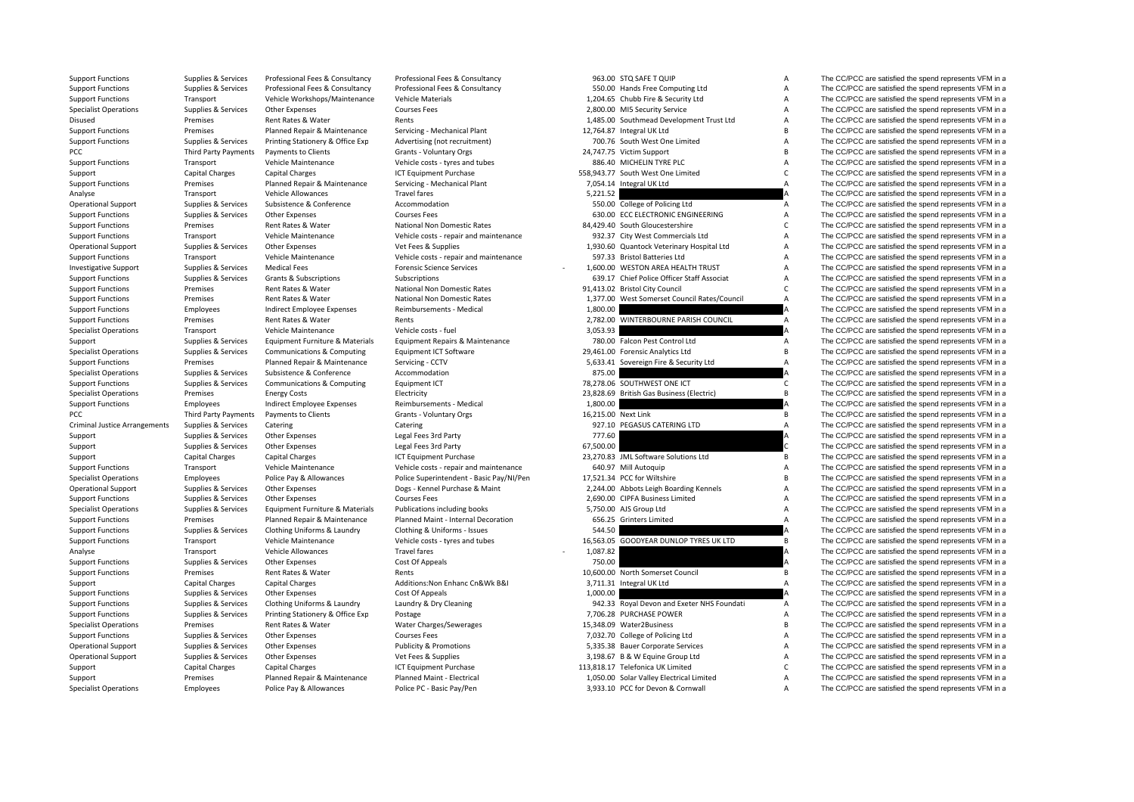| <b>Support Functions</b>             | Supplies & Services    | Professional Fees & Consultancy   | Professional Fees & Consultancy          |           | 963.00 STQ SAFE T QUIP                       | Α                 | The CC/PCC are satisfied the spend represents VFM in a                                                       |
|--------------------------------------|------------------------|-----------------------------------|------------------------------------------|-----------|----------------------------------------------|-------------------|--------------------------------------------------------------------------------------------------------------|
| <b>Support Functions</b>             | Supplies & Services    | Professional Fees & Consultancy   | Professional Fees & Consultancy          |           | 550.00 Hands Free Computing Ltd              | Α                 | The CC/PCC are satisfied the spend represents VFM in a                                                       |
| <b>Support Functions</b>             | Transport              | Vehicle Workshops/Maintenance     | Vehicle Materials                        |           | 1,204.65 Chubb Fire & Security Ltd           | Α                 | The CC/PCC are satisfied the spend represents VFM in a                                                       |
| <b>Specialist Operations</b>         | Supplies & Services    | Other Expenses                    | <b>Courses Fees</b>                      |           | 2,800.00 MI5 Security Service                | Α                 | The CC/PCC are satisfied the spend represents VFM in a                                                       |
| Disused                              | Premises               | Rent Rates & Water                | Rents                                    |           | 1,485.00 Southmead Development Trust Ltd     | A                 | The CC/PCC are satisfied the spend represents VFM in a                                                       |
| <b>Support Functions</b>             | Premises               | Planned Repair & Maintenance      | Servicing - Mechanical Plant             |           | 12,764.87 Integral UK Ltd                    | B                 | The CC/PCC are satisfied the spend represents VFM in a                                                       |
| <b>Support Functions</b>             | Supplies & Services    | Printing Stationery & Office Exp  | Advertising (not recruitment)            |           | 700.76 South West One Limited                | А                 | The CC/PCC are satisfied the spend represents VFM in a                                                       |
| PCC                                  | Third Party Payments   | Payments to Clients               | Grants - Voluntary Orgs                  |           | 24,747.75 Victim Support                     | B                 | The CC/PCC are satisfied the spend represents VFM in a                                                       |
| <b>Support Functions</b>             | Transport              | Vehicle Maintenance               | Vehicle costs - tyres and tubes          |           | 886.40 MICHELIN TYRE PLC                     | A                 | The CC/PCC are satisfied the spend represents VFM in a                                                       |
| Support                              | <b>Capital Charges</b> | Capital Charges                   | <b>ICT Equipment Purchase</b>            |           | 558,943.77 South West One Limited            | $\mathsf{C}$      | The CC/PCC are satisfied the spend represents VFM in a                                                       |
| <b>Support Functions</b>             | Premises               | Planned Repair & Maintenance      | Servicing - Mechanical Plant             |           | 7,054.14 Integral UK Ltd                     | Α                 | The CC/PCC are satisfied the spend represents VFM in a                                                       |
| Analyse                              | Transport              | Vehicle Allowances                | <b>Travel fares</b>                      | 5,221.52  |                                              |                   | The CC/PCC are satisfied the spend represents VFM in a                                                       |
|                                      |                        | Subsistence & Conference          | Accommodation                            |           | 550.00 College of Policing Ltd               | A                 | The CC/PCC are satisfied the spend represents VFM in a                                                       |
| <b>Operational Support</b>           | Supplies & Services    |                                   |                                          |           | 630.00 ECC ELECTRONIC ENGINEERING            |                   |                                                                                                              |
| <b>Support Functions</b>             | Supplies & Services    | Other Expenses                    | <b>Courses Fees</b>                      |           |                                              | A<br>$\mathsf{C}$ | The CC/PCC are satisfied the spend represents VFM in a                                                       |
| <b>Support Functions</b>             | Premises               | Rent Rates & Water                | National Non Domestic Rates              |           | 84,429.40 South Gloucestershire              |                   | The CC/PCC are satisfied the spend represents VFM in a                                                       |
| <b>Support Functions</b>             | Transport              | Vehicle Maintenance               | Vehicle costs - repair and maintenance   |           | 932.37 City West Commercials Ltd             | A                 | The CC/PCC are satisfied the spend represents VFM in a                                                       |
| <b>Operational Support</b>           | Supplies & Services    | Other Expenses                    | Vet Fees & Supplies                      |           | 1,930.60 Quantock Veterinary Hospital Ltd    | A                 | The CC/PCC are satisfied the spend represents VFM in a                                                       |
| <b>Support Functions</b>             | Transport              | Vehicle Maintenance               | Vehicle costs - repair and maintenance   |           | 597.33 Bristol Batteries Ltd                 | А                 | The CC/PCC are satisfied the spend represents VFM in a                                                       |
| <b>Investigative Support</b>         | Supplies & Services    | <b>Medical Fees</b>               | <b>Forensic Science Services</b>         |           | 1,600.00 WESTON AREA HEALTH TRUST            | А                 | The CC/PCC are satisfied the spend represents VFM in a                                                       |
| <b>Support Functions</b>             | Supplies & Services    | Grants & Subscriptions            | Subscriptions                            |           | 639.17 Chief Police Officer Staff Associat   | A                 | The CC/PCC are satisfied the spend represents VFM in a                                                       |
| <b>Support Functions</b>             | Premises               | Rent Rates & Water                | National Non Domestic Rates              |           | 91,413.02 Bristol City Council               | $\mathsf{C}$      | The CC/PCC are satisfied the spend represents VFM in a                                                       |
| <b>Support Functions</b>             | Premises               | Rent Rates & Water                | National Non Domestic Rates              |           | 1,377.00 West Somerset Council Rates/Council | A                 | The CC/PCC are satisfied the spend represents VFM in a                                                       |
| <b>Support Functions</b>             | Employees              | <b>Indirect Employee Expenses</b> | Reimbursements - Medical                 | 1,800.00  |                                              |                   | The CC/PCC are satisfied the spend represents VFM in a                                                       |
| <b>Support Functions</b>             | Premises               | Rent Rates & Water                | Rents                                    |           | 2,782.00 WINTERBOURNE PARISH COUNCIL         | A                 | The CC/PCC are satisfied the spend represents VFM in a                                                       |
| <b>Specialist Operations</b>         | Transport              | Vehicle Maintenance               | Vehicle costs - fuel                     | 3,053.93  |                                              |                   | The CC/PCC are satisfied the spend represents VFM in a                                                       |
| Support                              | Supplies & Services    | Equipment Furniture & Materials   | Equipment Repairs & Maintenance          |           | 780.00 Falcon Pest Control Ltd               | Α                 | The CC/PCC are satisfied the spend represents VFM in a                                                       |
| <b>Specialist Operations</b>         | Supplies & Services    | Communications & Computing        | <b>Equipment ICT Software</b>            |           | 29,461.00 Forensic Analytics Ltd             | <b>B</b>          | The CC/PCC are satisfied the spend represents VFM in a                                                       |
| <b>Support Functions</b>             | Premises               | Planned Repair & Maintenance      | Servicing - CCTV                         |           | 5,633.41 Sovereign Fire & Security Ltd       | $\overline{A}$    | The CC/PCC are satisfied the spend represents VFM in a                                                       |
| <b>Specialist Operations</b>         | Supplies & Services    | Subsistence & Conference          | Accommodation                            | 875.00    |                                              |                   | The CC/PCC are satisfied the spend represents VFM in a                                                       |
| <b>Support Functions</b>             | Supplies & Services    | Communications & Computing        | Equipment ICT                            |           | 78,278.06 SOUTHWEST ONE ICT                  | C                 | The CC/PCC are satisfied the spend represents VFM in a                                                       |
| <b>Specialist Operations</b>         | Premises               | <b>Energy Costs</b>               | Electricity                              |           | 23,828.69 British Gas Business (Electric)    | B                 | The CC/PCC are satisfied the spend represents VFM in a                                                       |
| <b>Support Functions</b>             | Employees              | Indirect Employee Expenses        | Reimbursements - Medical                 | 1,800.00  |                                              |                   | The CC/PCC are satisfied the spend represents VFM in a                                                       |
| PCC                                  | Third Party Payments   | Payments to Clients               | Grants - Voluntary Orgs                  |           | 16,215.00 Next Link                          | B                 | The CC/PCC are satisfied the spend represents VFM in a                                                       |
| <b>Criminal Justice Arrangements</b> | Supplies & Services    | Catering                          | Catering                                 |           | 927.10 PEGASUS CATERING LTD                  | A                 | The CC/PCC are satisfied the spend represents VFM in a                                                       |
|                                      | Supplies & Services    | Other Expenses                    | Legal Fees 3rd Party                     | 777.60    |                                              |                   | The CC/PCC are satisfied the spend represents VFM in a                                                       |
| Support                              |                        |                                   |                                          | 67,500.00 |                                              |                   |                                                                                                              |
| Support                              | Supplies & Services    | Other Expenses                    | Legal Fees 3rd Party                     |           |                                              |                   | The CC/PCC are satisfied the spend represents VFM in a                                                       |
| Support                              | <b>Capital Charges</b> | <b>Capital Charges</b>            | ICT Equipment Purchase                   |           | 23,270.83 JML Software Solutions Ltd         | В                 | The CC/PCC are satisfied the spend represents VFM in a                                                       |
| <b>Support Functions</b>             | Transport              | Vehicle Maintenance               | Vehicle costs - repair and maintenance   |           | 640.97 Mill Autoquip                         | A                 | The CC/PCC are satisfied the spend represents VFM in a                                                       |
| <b>Specialist Operations</b>         | Employees              | Police Pay & Allowances           | Police Superintendent - Basic Pay/NI/Pen |           | 17,521.34 PCC for Wiltshire                  | B                 | The CC/PCC are satisfied the spend represents VFM in a                                                       |
| <b>Operational Support</b>           | Supplies & Services    | Other Expenses                    | Dogs - Kennel Purchase & Maint           |           | 2,244.00 Abbots Leigh Boarding Kennels       | А                 | The CC/PCC are satisfied the spend represents VFM in a                                                       |
| <b>Support Functions</b>             | Supplies & Services    | Other Expenses                    | <b>Courses Fees</b>                      |           | 2,690.00 CIPFA Business Limited              | A                 | The CC/PCC are satisfied the spend represents VFM in a                                                       |
| <b>Specialist Operations</b>         | Supplies & Services    | Equipment Furniture & Materials   | Publications including books             |           | 5,750.00 AJS Group Ltd                       | A                 | The CC/PCC are satisfied the spend represents VFM in a                                                       |
| <b>Support Functions</b>             | Premises               | Planned Repair & Maintenance      | Planned Maint - Internal Decoration      |           | 656.25 Grinters Limited                      | A                 | The CC/PCC are satisfied the spend represents VFM in a                                                       |
| <b>Support Functions</b>             | Supplies & Services    | Clothing Uniforms & Laundry       | Clothing & Uniforms - Issues             | 544.50    |                                              |                   | The CC/PCC are satisfied the spend represents VFM in a                                                       |
| <b>Support Functions</b>             | Transport              | Vehicle Maintenance               | Vehicle costs - tyres and tubes          |           | 16,563.05 GOODYEAR DUNLOP TYRES UK LTD       | B                 | The CC/PCC are satisfied the spend represents VFM in a                                                       |
| Analyse                              | Transport              | Vehicle Allowances                | <b>Travel fares</b>                      | 1,087.82  |                                              |                   | The CC/PCC are satisfied the spend represents VFM in a                                                       |
| <b>Support Functions</b>             | Supplies & Services    | Other Expenses                    | Cost Of Appeals                          | 750.00    |                                              |                   | The CC/PCC are satisfied the spend represents VFM in a                                                       |
| <b>Support Functions</b>             | Premises               | Rent Rates & Water                | Rents                                    |           | 10,600.00 North Somerset Council             | B                 | The CC/PCC are satisfied the spend represents VFM in a                                                       |
| Support                              | <b>Capital Charges</b> | <b>Capital Charges</b>            | Additions: Non Enhanc Cn&Wk B&I          |           | 3,711.31 Integral UK Ltd                     | $\overline{A}$    | The CC/PCC are satisfied the spend represents VFM in a                                                       |
| <b>Support Functions</b>             | Supplies & Services    | Other Expenses                    | Cost Of Appeals                          | 1,000.00  |                                              |                   | The CC/PCC are satisfied the spend represents VFM in a                                                       |
| <b>Support Functions</b>             | Supplies & Services    | Clothing Uniforms & Laundry       | Laundry & Dry Cleaning                   |           | 942.33 Royal Devon and Exeter NHS Foundati   | A                 | The CC/PCC are satisfied the spend represents VFM in a                                                       |
| <b>Support Functions</b>             | Supplies & Services    | Printing Stationery & Office Exp  | Postage                                  |           | 7,706.28 PURCHASE POWER                      | Α                 | The CC/PCC are satisfied the spend represents VFM in a                                                       |
| <b>Specialist Operations</b>         | Premises               | Rent Rates & Water                | Water Charges/Sewerages                  |           | 15,348.09 Water2Business                     | <b>B</b>          | The CC/PCC are satisfied the spend represents VFM in a                                                       |
| <b>Support Functions</b>             | Supplies & Services    | Other Expenses                    | <b>Courses Fees</b>                      |           | 7,032.70 College of Policing Ltd             | A                 | The CC/PCC are satisfied the spend represents VFM in a                                                       |
| <b>Operational Support</b>           | Supplies & Services    | Other Expenses                    | <b>Publicity &amp; Promotions</b>        |           | 5,335.38 Bauer Corporate Services            | А                 | The CC/PCC are satisfied the spend represents VFM in a                                                       |
| <b>Operational Support</b>           | Supplies & Services    | Other Expenses                    | Vet Fees & Supplies                      |           | 3,198.67 B & W Equine Group Ltd              | A                 | The CC/PCC are satisfied the spend represents VFM in a                                                       |
| Support                              | <b>Capital Charges</b> | <b>Capital Charges</b>            | <b>ICT Equipment Purchase</b>            |           | 113,818.17 Telefonica UK Limited             | $\mathsf{C}$      | The CC/PCC are satisfied the spend represents VFM in a                                                       |
|                                      |                        |                                   | الممتسمة والتراسية والمرابع              |           |                                              |                   | $TL = \bigcap_{n=1}^{n} \bigcap_{n=1}^{n} \bigcap_{n=1}^{n} \bigcap_{n=1}^{n} L_{n} = L_{n} + L_{n} + L_{n}$ |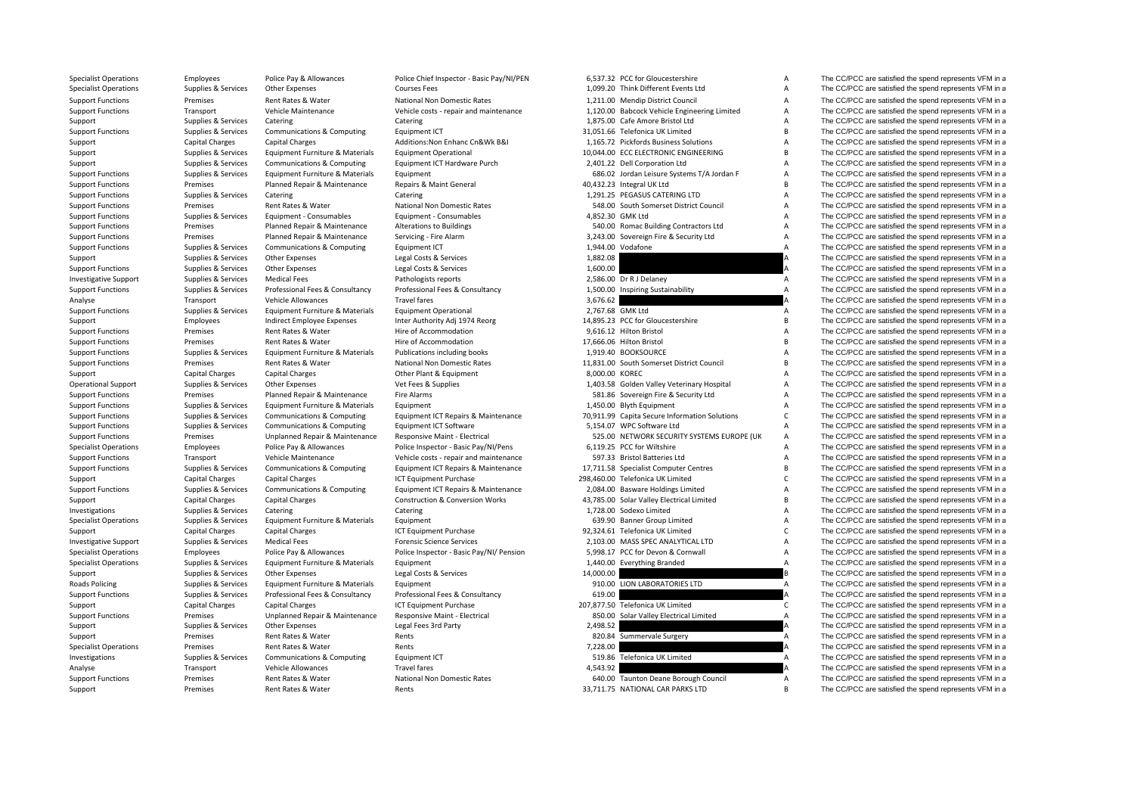| Specialist Operations        | Employees              | POIICE Pay & Allowances         | Police Chief Inspector - Basic Pay/Ni/PEN  |                | 6,537.32 PCC for Gloucestershire              | $\mathsf{A}$              | The CC/PCC are satisfied the spend represents VFM in a |
|------------------------------|------------------------|---------------------------------|--------------------------------------------|----------------|-----------------------------------------------|---------------------------|--------------------------------------------------------|
| <b>Specialist Operations</b> | Supplies & Services    | <b>Other Expenses</b>           | <b>Courses Fees</b>                        |                | 1,099.20 Think Different Events Ltd           | A                         | The CC/PCC are satisfied the spend represents VFM in a |
| <b>Support Functions</b>     | Premises               | Rent Rates & Water              | National Non Domestic Rates                |                | 1,211.00 Mendip District Council              | A                         | The CC/PCC are satisfied the spend represents VFM in a |
| <b>Support Functions</b>     | Transport              | Vehicle Maintenance             | Vehicle costs - repair and maintenance     |                | 1,120.00 Babcock Vehicle Engineering Limited  | A                         | The CC/PCC are satisfied the spend represents VFM in a |
| Support                      | Supplies & Services    | Catering                        | Catering                                   |                | 1,875.00 Cafe Amore Bristol Ltd               | $\boldsymbol{\mathsf{A}}$ | The CC/PCC are satisfied the spend represents VFM in a |
| <b>Support Functions</b>     | Supplies & Services    | Communications & Computing      | Equipment ICT                              |                | 31,051.66 Telefonica UK Limited               | $\overline{B}$            | The CC/PCC are satisfied the spend represents VFM in a |
| Support                      | Capital Charges        | <b>Capital Charges</b>          | Additions: Non Enhanc Cn&Wk B&I            |                | 1,165.72 Pickfords Business Solutions         | $\boldsymbol{\mathsf{A}}$ | The CC/PCC are satisfied the spend represents VFM in a |
| Support                      | Supplies & Services    | Equipment Furniture & Materials | <b>Equipment Operational</b>               |                | 10,044.00 ECC ELECTRONIC ENGINEERING          | B                         | The CC/PCC are satisfied the spend represents VFM in a |
| Support                      | Supplies & Services    | Communications & Computing      | Equipment ICT Hardware Purch               |                | 2,401.22 Dell Corporation Ltd                 | $\boldsymbol{\mathsf{A}}$ | The CC/PCC are satisfied the spend represents VFM in a |
| <b>Support Functions</b>     | Supplies & Services    | Equipment Furniture & Materials | Equipment                                  |                | 686.02 Jordan Leisure Systems T/A Jordan F    | $\boldsymbol{\mathsf{A}}$ | The CC/PCC are satisfied the spend represents VFM in a |
| <b>Support Functions</b>     | Premises               | Planned Repair & Maintenance    | Repairs & Maint General                    |                | 40,432.23 Integral UK Ltd                     | B                         | The CC/PCC are satisfied the spend represents VFM in a |
| <b>Support Functions</b>     | Supplies & Services    | Catering                        | Catering                                   |                | 1,291.25 PEGASUS CATERING LTD                 | A                         | The CC/PCC are satisfied the spend represents VFM in a |
| <b>Support Functions</b>     | Premises               | Rent Rates & Water              | National Non Domestic Rates                |                | 548.00 South Somerset District Council        | A                         | The CC/PCC are satisfied the spend represents VFM in a |
| <b>Support Functions</b>     | Supplies & Services    | Equipment - Consumables         | Equipment - Consumables                    |                | 4,852.30 GMK Ltd                              | A                         | The CC/PCC are satisfied the spend represents VFM in a |
| <b>Support Functions</b>     | Premises               | Planned Repair & Maintenance    | <b>Alterations to Buildings</b>            |                | 540.00 Romac Building Contractors Ltd         | $\boldsymbol{\mathsf{A}}$ | The CC/PCC are satisfied the spend represents VFM in a |
| <b>Support Functions</b>     | Premises               | Planned Repair & Maintenance    | Servicing - Fire Alarm                     |                | 3,243.00 Sovereign Fire & Security Ltd        | $\boldsymbol{\mathsf{A}}$ | The CC/PCC are satisfied the spend represents VFM in a |
| <b>Support Functions</b>     | Supplies & Services    | Communications & Computing      | Equipment ICT                              |                | 1,944.00 Vodafone                             | A                         | The CC/PCC are satisfied the spend represents VFM in a |
| Support                      | Supplies & Services    | Other Expenses                  | Legal Costs & Services                     | 1,882.08       |                                               | A                         | The CC/PCC are satisfied the spend represents VFM in a |
| <b>Support Functions</b>     | Supplies & Services    | Other Expenses                  | Legal Costs & Services                     | 1,600.00       |                                               | A                         | The CC/PCC are satisfied the spend represents VFM in a |
| <b>Investigative Support</b> | Supplies & Services    | <b>Medical Fees</b>             | Pathologists reports                       |                | 2,586.00 Dr R J Delaney                       | A                         | The CC/PCC are satisfied the spend represents VFM in a |
| <b>Support Functions</b>     |                        | Professional Fees & Consultancy | Professional Fees & Consultancy            |                | 1,500.00 Inspiring Sustainability             | A                         | The CC/PCC are satisfied the spend represents VFM in a |
|                              | Supplies & Services    | Vehicle Allowances              |                                            | 3,676.62       |                                               |                           | The CC/PCC are satisfied the spend represents VFM in a |
| Analyse                      | Transport              |                                 | Travel fares                               |                |                                               |                           |                                                        |
| <b>Support Functions</b>     | Supplies & Services    | Equipment Furniture & Materials | <b>Equipment Operational</b>               |                | 2,767.68 GMK Ltd                              | A                         | The CC/PCC are satisfied the spend represents VFM in a |
| Support                      | Employees              | Indirect Employee Expenses      | Inter Authority Adj 1974 Reorg             |                | 14,895.23 PCC for Gloucestershire             | B                         | The CC/PCC are satisfied the spend represents VFM in a |
| <b>Support Functions</b>     | Premises               | Rent Rates & Water              | Hire of Accommodation                      |                | 9,616.12 Hilton Bristol                       | $\overline{A}$            | The CC/PCC are satisfied the spend represents VFM in a |
| <b>Support Functions</b>     | Premises               | Rent Rates & Water              | Hire of Accommodation                      |                | 17,666.06 Hilton Bristol                      | $\overline{B}$            | The CC/PCC are satisfied the spend represents VFM in a |
| <b>Support Functions</b>     | Supplies & Services    | Equipment Furniture & Materials | Publications including books               |                | 1,919.40 BOOKSOURCE                           | $\overline{A}$            | The CC/PCC are satisfied the spend represents VFM in a |
| <b>Support Functions</b>     | Premises               | Rent Rates & Water              | National Non Domestic Rates                |                | 11,831.00 South Somerset District Council     | $\overline{B}$            | The CC/PCC are satisfied the spend represents VFM in a |
| Support                      | Capital Charges        | <b>Capital Charges</b>          | Other Plant & Equipment                    | 8.000.00 KOREC |                                               | $\overline{A}$            | The CC/PCC are satisfied the spend represents VFM in a |
| <b>Operational Support</b>   | Supplies & Services    | Other Expenses                  | Vet Fees & Supplies                        |                | 1,403.58 Golden Valley Veterinary Hospital    | A                         | The CC/PCC are satisfied the spend represents VFM in a |
| <b>Support Functions</b>     | Premises               | Planned Repair & Maintenance    | Fire Alarms                                |                | 581.86 Sovereign Fire & Security Ltd          | A                         | The CC/PCC are satisfied the spend represents VFM in a |
| <b>Support Functions</b>     | Supplies & Services    | Equipment Furniture & Materials | Equipment                                  |                | 1,450.00 Blyth Equipment                      | A                         | The CC/PCC are satisfied the spend represents VFM in a |
| <b>Support Functions</b>     | Supplies & Services    | Communications & Computing      | Equipment ICT Repairs & Maintenance        |                | 70,911.99 Capita Secure Information Solutions | $\mathsf{C}$              | The CC/PCC are satisfied the spend represents VFM in a |
| <b>Support Functions</b>     | Supplies & Services    | Communications & Computing      | Equipment ICT Software                     |                | 5,154.07 WPC Software Ltd                     | $\boldsymbol{\mathsf{A}}$ | The CC/PCC are satisfied the spend represents VFM in a |
| <b>Support Functions</b>     | Premises               | Unplanned Repair & Maintenance  | Responsive Maint - Electrical              |                | 525.00 NETWORK SECURITY SYSTEMS EUROPE (UK    | $\boldsymbol{\mathsf{A}}$ | The CC/PCC are satisfied the spend represents VFM in a |
| <b>Specialist Operations</b> | Employees              | Police Pay & Allowances         | Police Inspector - Basic Pay/NI/Pens       |                | 6,119.25 PCC for Wiltshire                    | A                         | The CC/PCC are satisfied the spend represents VFM in a |
| <b>Support Functions</b>     | Transport              | Vehicle Maintenance             | Vehicle costs - repair and maintenance     |                | 597.33 Bristol Batteries Ltd                  | $\boldsymbol{\mathsf{A}}$ | The CC/PCC are satisfied the spend represents VFM in a |
| <b>Support Functions</b>     | Supplies & Services    | Communications & Computing      | Equipment ICT Repairs & Maintenance        |                | 17,711.58 Specialist Computer Centres         | $\overline{B}$            | The CC/PCC are satisfied the spend represents VFM in a |
| Support                      | <b>Capital Charges</b> | <b>Capital Charges</b>          | <b>ICT Equipment Purchase</b>              |                | 298,460.00 Telefonica UK Limited              | $\mathsf{C}$              | The CC/PCC are satisfied the spend represents VFM in a |
| <b>Support Functions</b>     | Supplies & Services    | Communications & Computing      | Equipment ICT Repairs & Maintenance        |                | 2,084.00 Basware Holdings Limited             | A                         | The CC/PCC are satisfied the spend represents VFM in a |
| Support                      | Capital Charges        | <b>Capital Charges</b>          | <b>Construction &amp; Conversion Works</b> |                | 43,785.00 Solar Valley Electrical Limited     | B                         | The CC/PCC are satisfied the spend represents VFM in a |
| Investigations               | Supplies & Services    | Catering                        | Catering                                   |                | 1,728.00 Sodexo Limited                       | $\boldsymbol{\mathsf{A}}$ | The CC/PCC are satisfied the spend represents VFM in a |
| <b>Specialist Operations</b> | Supplies & Services    | Equipment Furniture & Materials | Equipment                                  |                | 639.90 Banner Group Limited                   | A                         | The CC/PCC are satisfied the spend represents VFM in a |
| Support                      | Capital Charges        | <b>Capital Charges</b>          | ICT Equipment Purchase                     |                | 92,324.61 Telefonica UK Limited               | $\mathsf{C}$              | The CC/PCC are satisfied the spend represents VFM in a |
| <b>Investigative Support</b> | Supplies & Services    | <b>Medical Fees</b>             | <b>Forensic Science Services</b>           |                | 2,103.00 MASS SPEC ANALYTICAL LTD             | $\boldsymbol{\mathsf{A}}$ | The CC/PCC are satisfied the spend represents VFM in a |
| <b>Specialist Operations</b> | Employees              | Police Pay & Allowances         | Police Inspector - Basic Pay/NI/ Pension   |                | 5,998.17 PCC for Devon & Cornwall             | $\boldsymbol{\mathsf{A}}$ | The CC/PCC are satisfied the spend represents VFM in a |
| <b>Specialist Operations</b> | Supplies & Services    | Equipment Furniture & Materials | Equipment                                  |                | 1,440.00 Everything Branded                   | $\overline{A}$            | The CC/PCC are satisfied the spend represents VFM in a |
| Support                      | Supplies & Services    | Other Expenses                  | Legal Costs & Services                     | 14,000.00      |                                               | B                         | The CC/PCC are satisfied the spend represents VFM in a |
| Roads Policing               | Supplies & Services    | Equipment Furniture & Materials | Equipment                                  |                | 910.00 LION LABORATORIES LTD                  | $\boldsymbol{\mathsf{A}}$ | The CC/PCC are satisfied the spend represents VFM in a |
| <b>Support Functions</b>     | Supplies & Services    | Professional Fees & Consultancy | Professional Fees & Consultancy            | 619.00         |                                               | A                         | The CC/PCC are satisfied the spend represents VFM in a |
| Support                      | Capital Charges        | <b>Capital Charges</b>          | ICT Equipment Purchase                     |                | 207,877.50 Telefonica UK Limited              | C                         | The CC/PCC are satisfied the spend represents VFM in a |
| <b>Support Functions</b>     | Premises               | Unplanned Repair & Maintenance  | Responsive Maint - Electrical              |                | 850.00 Solar Valley Electrical Limited        | $\overline{A}$            | The CC/PCC are satisfied the spend represents VFM in a |
| Support                      | Supplies & Services    | Other Expenses                  | Legal Fees 3rd Party                       | 2,498.52       |                                               |                           | The CC/PCC are satisfied the spend represents VFM in a |
| Support                      | Premises               | Rent Rates & Water              | Rents                                      |                | 820.84 Summervale Surgery                     | A                         | The CC/PCC are satisfied the spend represents VFM in a |
| <b>Specialist Operations</b> | Premises               | Rent Rates & Water              | Rents                                      | 7,228.00       |                                               | А                         | The CC/PCC are satisfied the spend represents VFM in a |
| Investigations               | Supplies & Services    | Communications & Computing      | Equipment ICT                              |                | 519.86 Telefonica UK Limited                  | $\overline{A}$            | The CC/PCC are satisfied the spend represents VFM in a |
| Analyse                      | Transport              | Vehicle Allowances              | <b>Travel fares</b>                        | 4,543.92       |                                               | A                         | The CC/PCC are satisfied the spend represents VFM in a |
| <b>Support Functions</b>     | Premises               | Rent Rates & Water              | National Non Domestic Rates                |                | 640.00 Taunton Deane Borough Council          | $\overline{A}$            | The CC/PCC are satisfied the spend represents VFM in a |
|                              |                        |                                 |                                            |                |                                               |                           |                                                        |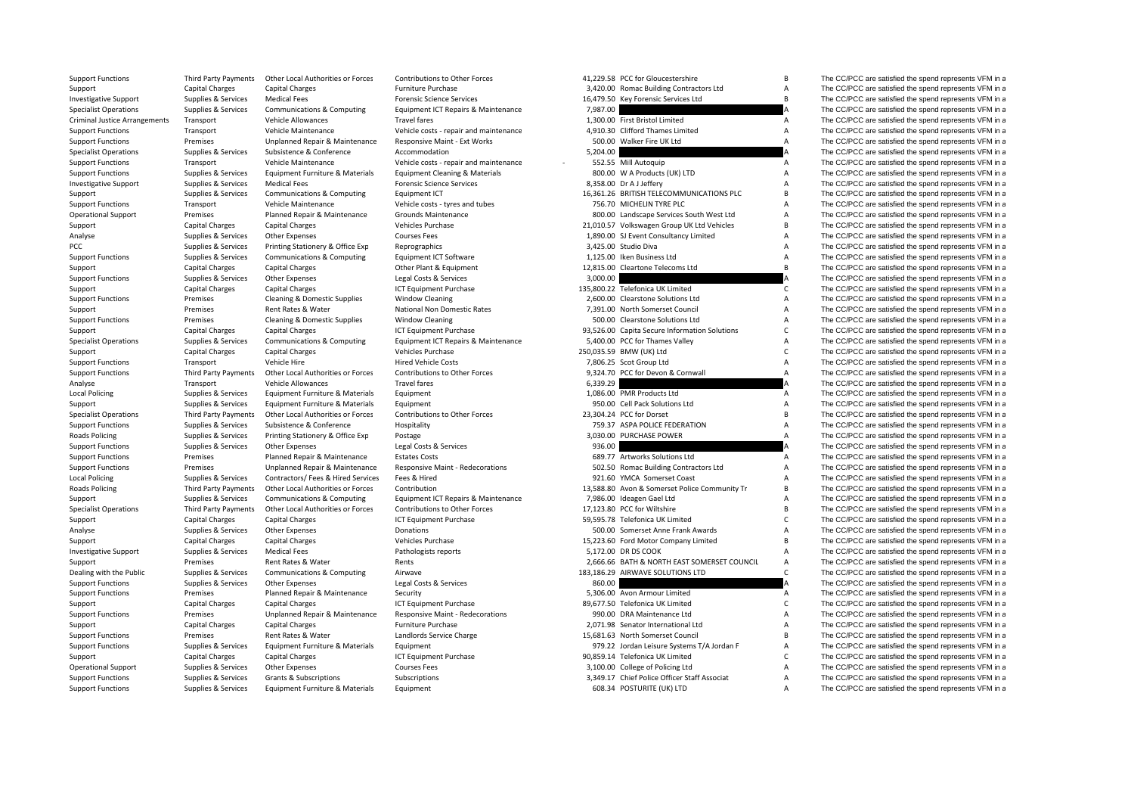| Support                              | Capital Charges             | <b>Capital Charges</b>             | Furniture Purchase                        |          | 3,420.00 Romac Building Contractors Ltd         | A                         | The CC/PCC are satisfied the spend represents VFM in a |
|--------------------------------------|-----------------------------|------------------------------------|-------------------------------------------|----------|-------------------------------------------------|---------------------------|--------------------------------------------------------|
| <b>Investigative Support</b>         | Supplies & Services         | <b>Medical Fees</b>                | <b>Forensic Science Services</b>          |          | 16,479.50 Key Forensic Services Ltd             | $\overline{B}$            | The CC/PCC are satisfied the spend represents VFM in a |
| <b>Specialist Operations</b>         | Supplies & Services         | Communications & Computing         | Equipment ICT Repairs & Maintenance       | 7,987.00 |                                                 |                           | The CC/PCC are satisfied the spend represents VFM in a |
| <b>Criminal Justice Arrangements</b> | Transport                   | Vehicle Allowances                 | <b>Travel fares</b>                       |          | 1,300.00 First Bristol Limited                  | Α                         | The CC/PCC are satisfied the spend represents VFM in a |
| <b>Support Functions</b>             | Transport                   | Vehicle Maintenance                | Vehicle costs - repair and maintenance    |          | 4,910.30 Clifford Thames Limited                | A                         | The CC/PCC are satisfied the spend represents VFM in a |
| <b>Support Functions</b>             | Premises                    | Unplanned Repair & Maintenance     | Responsive Maint - Ext Works              |          | 500.00 Walker Fire UK Ltd                       | $\overline{A}$            | The CC/PCC are satisfied the spend represents VFM in a |
| <b>Specialist Operations</b>         | Supplies & Services         | Subsistence & Conference           | Accommodation                             | 5,204.00 |                                                 | A                         | The CC/PCC are satisfied the spend represents VFM in a |
| <b>Support Functions</b>             | Transport                   | Vehicle Maintenance                | Vehicle costs - repair and maintenance    |          | 552.55 Mill Autoquip                            | Α                         | The CC/PCC are satisfied the spend represents VFM in a |
| <b>Support Functions</b>             | Supplies & Services         | Equipment Furniture & Materials    | <b>Equipment Cleaning &amp; Materials</b> |          | 800.00 W A Products (UK) LTD                    | A                         | The CC/PCC are satisfied the spend represents VFM in a |
| <b>Investigative Support</b>         | Supplies & Services         | <b>Medical Fees</b>                | <b>Forensic Science Services</b>          |          | 8,358.00 Dr A J Jeffery                         | A                         | The CC/PCC are satisfied the spend represents VFM in a |
| Support                              | Supplies & Services         | Communications & Computing         | Equipment ICT                             |          | 16,361.26 BRITISH TELECOMMUNICATIONS PLC        | B                         | The CC/PCC are satisfied the spend represents VFM in a |
| <b>Support Functions</b>             | Transport                   | Vehicle Maintenance                | Vehicle costs - tyres and tubes           |          | 756.70 MICHELIN TYRE PLC                        | $\overline{A}$            | The CC/PCC are satisfied the spend represents VFM in a |
| <b>Operational Support</b>           | Premises                    | Planned Repair & Maintenance       | <b>Grounds Maintenance</b>                |          | 800.00 Landscape Services South West Ltd        | $\boldsymbol{\mathsf{A}}$ | The CC/PCC are satisfied the spend represents VFM in a |
|                                      | Capital Charges             | <b>Capital Charges</b>             | Vehicles Purchase                         |          | 21,010.57 Volkswagen Group UK Ltd Vehicles      | B                         | The CC/PCC are satisfied the spend represents VFM in a |
| Support<br>Analyse                   | Supplies & Services         | Other Expenses                     | <b>Courses Fees</b>                       |          | 1,890.00 SJ Event Consultancy Limited           | $\boldsymbol{\mathsf{A}}$ | The CC/PCC are satisfied the spend represents VFM in a |
|                                      |                             |                                    |                                           |          | 3,425.00 Studio Diva                            | A                         |                                                        |
| PCC                                  | Supplies & Services         | Printing Stationery & Office Exp   | Reprographics                             |          |                                                 |                           | The CC/PCC are satisfied the spend represents VFM in a |
| <b>Support Functions</b>             | Supplies & Services         | Communications & Computing         | Equipment ICT Software                    |          | 1,125.00 Iken Business Ltd                      | A<br>$\overline{B}$       | The CC/PCC are satisfied the spend represents VFM in a |
| Support                              | Capital Charges             | <b>Capital Charges</b>             | Other Plant & Equipment                   |          | 12,815.00 Cleartone Telecoms Ltd                |                           | The CC/PCC are satisfied the spend represents VFM in a |
| <b>Support Functions</b>             | Supplies & Services         | Other Expenses                     | Legal Costs & Services                    | 3,000.00 |                                                 | A                         | The CC/PCC are satisfied the spend represents VFM in a |
| Support                              | Capital Charges             | <b>Capital Charges</b>             | ICT Equipment Purchase                    |          | 135,800.22 Telefonica UK Limited                | $\mathsf{C}$              | The CC/PCC are satisfied the spend represents VFM in a |
| <b>Support Functions</b>             | Premises                    | Cleaning & Domestic Supplies       | <b>Window Cleaning</b>                    |          | 2,600.00 Clearstone Solutions Ltd               | $\boldsymbol{\mathsf{A}}$ | The CC/PCC are satisfied the spend represents VFM in a |
| Support                              | Premises                    | Rent Rates & Water                 | National Non Domestic Rates               |          | 7,391.00 North Somerset Council                 | $\boldsymbol{\mathsf{A}}$ | The CC/PCC are satisfied the spend represents VFM in a |
| <b>Support Functions</b>             | Premises                    | Cleaning & Domestic Supplies       | <b>Window Cleaning</b>                    |          | 500.00 Clearstone Solutions Ltd                 | A                         | The CC/PCC are satisfied the spend represents VFM in a |
| Support                              | Capital Charges             | <b>Capital Charges</b>             | <b>ICT Equipment Purchase</b>             |          | 93,526.00 Capita Secure Information Solutions   | $\mathsf{C}$              | The CC/PCC are satisfied the spend represents VFM in a |
| <b>Specialist Operations</b>         | Supplies & Services         | Communications & Computing         | Equipment ICT Repairs & Maintenance       |          | 5,400.00 PCC for Thames Valley                  | $\boldsymbol{\mathsf{A}}$ | The CC/PCC are satisfied the spend represents VFM in a |
| Support                              | <b>Capital Charges</b>      | <b>Capital Charges</b>             | <b>Vehicles Purchase</b>                  |          | 250,035.59 BMW (UK) Ltd                         | $\mathsf{C}$              | The CC/PCC are satisfied the spend represents VFM in a |
| <b>Support Functions</b>             | Transport                   | Vehicle Hire                       | <b>Hired Vehicle Costs</b>                |          | 7,806.25 Scot Group Ltd                         | $\boldsymbol{\mathsf{A}}$ | The CC/PCC are satisfied the spend represents VFM in a |
| <b>Support Functions</b>             | Third Party Payments        | Other Local Authorities or Forces  | Contributions to Other Forces             |          | 9,324.70 PCC for Devon & Cornwall               | A                         | The CC/PCC are satisfied the spend represents VFM in a |
| Analyse                              | Transport                   | <b>Vehicle Allowances</b>          | <b>Travel fares</b>                       | 6,339.29 |                                                 |                           | The CC/PCC are satisfied the spend represents VFM in a |
| <b>Local Policing</b>                | Supplies & Services         | Equipment Furniture & Materials    | Equipment                                 |          | 1,086.00 PMR Products Ltd                       | $\overline{A}$            | The CC/PCC are satisfied the spend represents VFM in a |
| Support                              | Supplies & Services         | Equipment Furniture & Materials    | Equipment                                 |          | 950.00 Cell Pack Solutions Ltd                  | A                         | The CC/PCC are satisfied the spend represents VFM in a |
| <b>Specialist Operations</b>         | <b>Third Party Payments</b> | Other Local Authorities or Forces  | Contributions to Other Forces             |          | 23,304.24 PCC for Dorset                        | $\overline{B}$            | The CC/PCC are satisfied the spend represents VFM in a |
| <b>Support Functions</b>             | Supplies & Services         | Subsistence & Conference           | Hospitality                               |          | 759.37 ASPA POLICE FEDERATION                   | $\boldsymbol{\mathsf{A}}$ | The CC/PCC are satisfied the spend represents VFM in a |
| Roads Policing                       | Supplies & Services         | Printing Stationery & Office Exp   | Postage                                   |          | 3,030.00 PURCHASE POWER                         | A                         | The CC/PCC are satisfied the spend represents VFM in a |
| <b>Support Functions</b>             | Supplies & Services         | Other Expenses                     | Legal Costs & Services                    | 936.00   |                                                 |                           | The CC/PCC are satisfied the spend represents VFM in a |
| <b>Support Functions</b>             | Premises                    | Planned Repair & Maintenance       | <b>Estates Costs</b>                      |          | 689.77 Artworks Solutions Ltd                   | A                         | The CC/PCC are satisfied the spend represents VFM in a |
| <b>Support Functions</b>             | Premises                    | Unplanned Repair & Maintenance     | <b>Responsive Maint - Redecorations</b>   |          | 502.50 Romac Building Contractors Ltd           | A                         | The CC/PCC are satisfied the spend represents VFM in a |
| <b>Local Policing</b>                | Supplies & Services         | Contractors/ Fees & Hired Services | Fees & Hired                              |          | 921.60 YMCA Somerset Coast                      | $\boldsymbol{\mathsf{A}}$ | The CC/PCC are satisfied the spend represents VFM in a |
| Roads Policing                       | Third Party Payments        | Other Local Authorities or Forces  | Contribution                              |          | 13,588.80 Avon & Somerset Police Community Tr   | $\sf{B}$                  | The CC/PCC are satisfied the spend represents VFM in a |
| Support                              | Supplies & Services         | Communications & Computing         | Equipment ICT Repairs & Maintenance       |          | 7,986.00 Ideagen Gael Ltd                       | A                         | The CC/PCC are satisfied the spend represents VFM in a |
| <b>Specialist Operations</b>         | Third Party Payments        | Other Local Authorities or Forces  | Contributions to Other Forces             |          | 17,123.80 PCC for Wiltshire                     | $\sf{B}$                  | The CC/PCC are satisfied the spend represents VFM in a |
| Support                              | Capital Charges             | <b>Capital Charges</b>             | ICT Equipment Purchase                    |          | 59,595.78 Telefonica UK Limited                 | $\mathsf{C}$              | The CC/PCC are satisfied the spend represents VFM in a |
| Analyse                              | Supplies & Services         | Other Expenses                     | Donations                                 |          | 500.00 Somerset Anne Frank Awards               | $\overline{A}$            | The CC/PCC are satisfied the spend represents VFM in a |
|                                      | Capital Charges             | <b>Capital Charges</b>             | Vehicles Purchase                         |          | 15,223.60 Ford Motor Company Limited            | $\sf{B}$                  | The CC/PCC are satisfied the spend represents VFM in a |
| Support                              |                             |                                    |                                           |          |                                                 |                           |                                                        |
| <b>Investigative Support</b>         | Supplies & Services         | <b>Medical Fees</b>                | Pathologists reports                      |          | 5,172.00 DR DS COOK                             | A                         | The CC/PCC are satisfied the spend represents VFM in a |
| Support                              | Premises                    | Rent Rates & Water                 | Rents                                     |          | 2,666.66 BATH & NORTH EAST SOMERSET COUNCIL     | A<br>$\mathsf{C}$         | The CC/PCC are satisfied the spend represents VFM in a |
| Dealing with the Public              | Supplies & Services         | Communications & Computing         | Airwave                                   |          | 183,186.29 AIRWAVE SOLUTIONS LTD                |                           | The CC/PCC are satisfied the spend represents VFM in a |
| <b>Support Functions</b>             | Supplies & Services         | Other Expenses                     | Legal Costs & Services                    | 860.00   |                                                 | A                         | The CC/PCC are satisfied the spend represents VFM in a |
| <b>Support Functions</b>             | Premises                    | Planned Repair & Maintenance       | Security                                  |          | 5,306.00 Avon Armour Limited                    | A                         | The CC/PCC are satisfied the spend represents VFM in a |
| Support                              | Capital Charges             | <b>Capital Charges</b>             | <b>ICT Equipment Purchase</b>             |          | 89,677.50 Telefonica UK Limited                 | $\mathsf{C}$              | The CC/PCC are satisfied the spend represents VFM in a |
| <b>Support Functions</b>             | Premises                    | Unplanned Repair & Maintenance     | Responsive Maint - Redecorations          |          | 990.00 DRA Maintenance Ltd                      | A                         | The CC/PCC are satisfied the spend represents VFM in a |
| Support                              | Capital Charges             | <b>Capital Charges</b>             | <b>Furniture Purchase</b>                 |          | 2,071.98 Senator International Ltd              | $\boldsymbol{\mathsf{A}}$ | The CC/PCC are satisfied the spend represents VFM in a |
| <b>Support Functions</b>             | Premises                    | Rent Rates & Water                 | Landlords Service Charge                  |          | 15,681.63 North Somerset Council                | $\overline{B}$            | The CC/PCC are satisfied the spend represents VFM in a |
| <b>Support Functions</b>             | Supplies & Services         | Equipment Furniture & Materials    | Equipment                                 |          | 979.22 Jordan Leisure Systems T/A Jordan F      | A                         | The CC/PCC are satisfied the spend represents VFM in a |
| Support                              | Capital Charges             | <b>Capital Charges</b>             | <b>ICT Equipment Purchase</b>             |          | 90,859.14 Telefonica UK Limited                 | $\mathsf{C}$              | The CC/PCC are satisfied the spend represents VFM in a |
| <b>Operational Support</b>           | Supplies & Services         | Other Expenses                     | <b>Courses Fees</b>                       |          | 3,100.00 College of Policing Ltd                | A                         | The CC/PCC are satisfied the spend represents VFM in a |
|                                      | Cunnliae O Camilage         | $C$ santa $0$ $C$ the              | Cubandoti                                 |          | 3.340.47 Chief Bolina Officer Staff Association |                           | The CC/DCC are potiotical the annual rest              |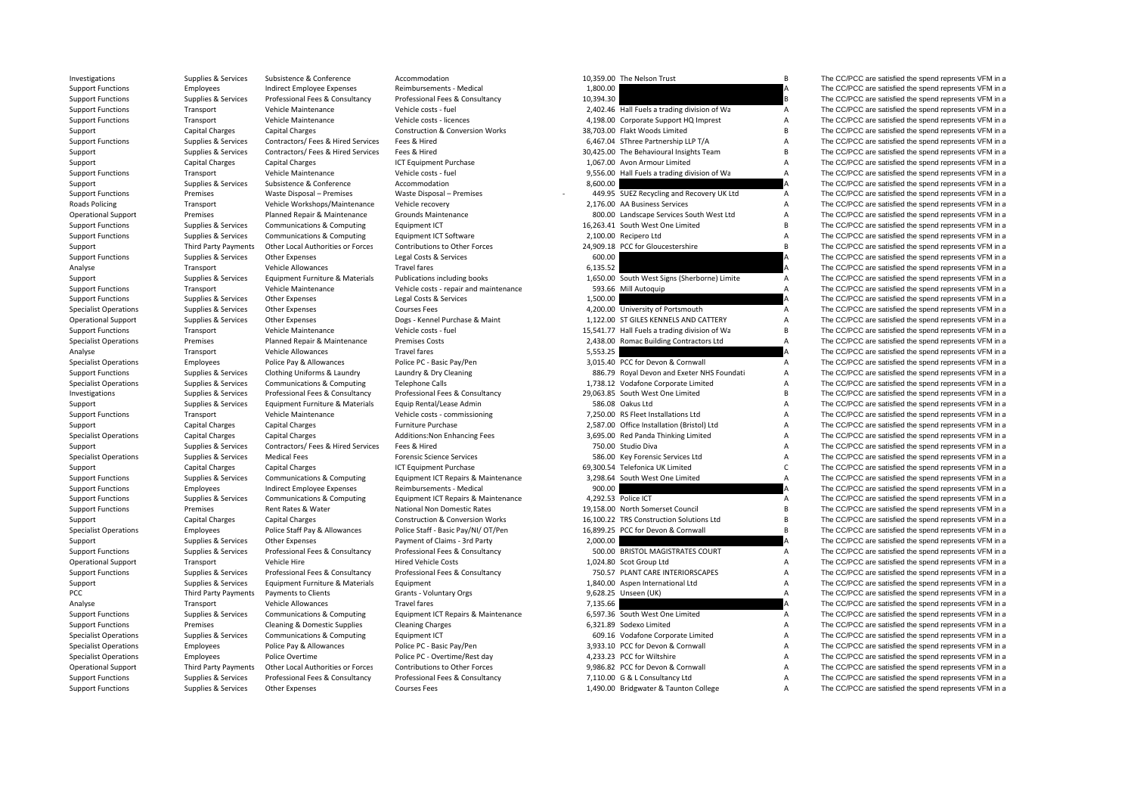| <b>INVESURATIONS</b>         | Supplies & Services    | <b>SUDSISTERICE &amp; CONNETENCE</b>                          | ACCONNIQUATION                             |           | TO'222'ON THE MEISOIL LLAPE                                             | D.             | The CC/PCC are sausited the spend represents view in a |
|------------------------------|------------------------|---------------------------------------------------------------|--------------------------------------------|-----------|-------------------------------------------------------------------------|----------------|--------------------------------------------------------|
| <b>Support Functions</b>     | Employees              | Indirect Employee Expenses                                    | Reimbursements - Medical                   | 1,800.00  |                                                                         | A              | The CC/PCC are satisfied the spend represents VFM in a |
| <b>Support Functions</b>     | Supplies & Services    | Professional Fees & Consultancy                               | Professional Fees & Consultancy            | 10,394.30 |                                                                         |                | The CC/PCC are satisfied the spend represents VFM in a |
| <b>Support Functions</b>     | Transport              | Vehicle Maintenance                                           | Vehicle costs - fuel                       |           | 2,402.46 Hall Fuels a trading division of Wa                            | A              | The CC/PCC are satisfied the spend represents VFM in a |
| <b>Support Functions</b>     | Transport              | Vehicle Maintenance                                           | Vehicle costs - licences                   |           | 4,198.00 Corporate Support HQ Imprest                                   | A              | The CC/PCC are satisfied the spend represents VFM in a |
| Support                      | Capital Charges        | <b>Capital Charges</b>                                        | <b>Construction &amp; Conversion Works</b> |           | 38,703.00 Flakt Woods Limited                                           | <b>B</b>       | The CC/PCC are satisfied the spend represents VFM in a |
| <b>Support Functions</b>     | Supplies & Services    | Contractors/ Fees & Hired Services                            | Fees & Hired                               |           | 6,467.04 SThree Partnership LLP T/A                                     | A              | The CC/PCC are satisfied the spend represents VFM in a |
| Support                      | Supplies & Services    | Contractors/ Fees & Hired Services                            | Fees & Hired                               |           | 30,425.00 The Behavioural Insights Team                                 | B              | The CC/PCC are satisfied the spend represents VFM in a |
| Support                      | <b>Capital Charges</b> | <b>Capital Charges</b>                                        | ICT Equipment Purchase                     |           | 1,067.00 Avon Armour Limited                                            | A              | The CC/PCC are satisfied the spend represents VFM in a |
| <b>Support Functions</b>     | Transport              | Vehicle Maintenance                                           | Vehicle costs - fuel                       |           | 9,556.00 Hall Fuels a trading division of Wa                            | A              | The CC/PCC are satisfied the spend represents VFM in a |
| Support                      | Supplies & Services    | Subsistence & Conference                                      | Accommodation                              | 8,600.00  |                                                                         |                | The CC/PCC are satisfied the spend represents VFM in a |
| <b>Support Functions</b>     | Premises               | Waste Disposal - Premises                                     | Waste Disposal - Premises                  |           | 449.95 SUEZ Recycling and Recovery UK Ltd                               | A              | The CC/PCC are satisfied the spend represents VFM in a |
| Roads Policing               | Transport              | Vehicle Workshops/Maintenance                                 | Vehicle recovery                           |           | 2,176.00 AA Business Services                                           | A              | The CC/PCC are satisfied the spend represents VFM in a |
| <b>Operational Support</b>   | Premises               | Planned Repair & Maintenance                                  | Grounds Maintenance                        |           | 800.00 Landscape Services South West Ltd                                | A              | The CC/PCC are satisfied the spend represents VFM in a |
| <b>Support Functions</b>     | Supplies & Services    | Communications & Computing                                    | Equipment ICT                              |           | 16,263.41 South West One Limited                                        | B              | The CC/PCC are satisfied the spend represents VFM in a |
| <b>Support Functions</b>     | Supplies & Services    | Communications & Computing                                    | Equipment ICT Software                     |           | 2,100.00 Recipero Ltd                                                   | A              | The CC/PCC are satisfied the spend represents VFM in a |
| Support                      | Third Party Payments   | Other Local Authorities or Forces                             | Contributions to Other Forces              |           | 24,909.18 PCC for Gloucestershire                                       | B              | The CC/PCC are satisfied the spend represents VFM in a |
| <b>Support Functions</b>     | Supplies & Services    | Other Expenses                                                | Legal Costs & Services                     | 600.00    |                                                                         | A              | The CC/PCC are satisfied the spend represents VFM in a |
| Analyse                      | Transport              | Vehicle Allowances                                            | <b>Travel fares</b>                        | 6,135.52  |                                                                         |                | The CC/PCC are satisfied the spend represents VFM in a |
| Support                      | Supplies & Services    | Equipment Furniture & Materials                               | Publications including books               |           | 1,650.00 South West Signs (Sherborne) Limite                            | A              | The CC/PCC are satisfied the spend represents VFM in a |
| <b>Support Functions</b>     | Transport              | Vehicle Maintenance                                           | Vehicle costs - repair and maintenance     |           | 593.66 Mill Autoquip                                                    | A              | The CC/PCC are satisfied the spend represents VFM in a |
| <b>Support Functions</b>     | Supplies & Services    | <b>Other Expenses</b>                                         | Legal Costs & Services                     | 1,500.00  |                                                                         |                | The CC/PCC are satisfied the spend represents VFM in a |
| <b>Specialist Operations</b> | Supplies & Services    | <b>Other Expenses</b>                                         | <b>Courses Fees</b>                        |           | 4,200.00 University of Portsmouth                                       | A              | The CC/PCC are satisfied the spend represents VFM in a |
| <b>Operational Support</b>   | Supplies & Services    | <b>Other Expenses</b>                                         | Dogs - Kennel Purchase & Maint             |           | 1.122.00 ST GILES KENNELS AND CATTERY                                   | A              | The CC/PCC are satisfied the spend represents VFM in a |
| <b>Support Functions</b>     | Transport              | Vehicle Maintenance                                           | Vehicle costs - fuel                       |           | 15,541.77 Hall Fuels a trading division of Wa                           | B              | The CC/PCC are satisfied the spend represents VFM in a |
| <b>Specialist Operations</b> | Premises               | Planned Repair & Maintenance                                  | <b>Premises Costs</b>                      |           | 2,438.00 Romac Building Contractors Ltd                                 | A              | The CC/PCC are satisfied the spend represents VFM in a |
| Analyse                      | Transport              | Vehicle Allowances                                            | <b>Travel fares</b>                        | 5,553.25  |                                                                         |                | The CC/PCC are satisfied the spend represents VFM in a |
| <b>Specialist Operations</b> | Employees              | Police Pay & Allowances                                       | Police PC - Basic Pay/Pen                  |           | 3,015.40 PCC for Devon & Cornwall                                       | A              | The CC/PCC are satisfied the spend represents VFM in a |
| <b>Support Functions</b>     | Supplies & Services    | Clothing Uniforms & Laundry                                   | Laundry & Dry Cleaning                     |           | 886.79 Royal Devon and Exeter NHS Foundati                              | A              | The CC/PCC are satisfied the spend represents VFM in a |
|                              |                        |                                                               | <b>Telephone Calls</b>                     |           |                                                                         | $\overline{A}$ |                                                        |
| <b>Specialist Operations</b> | Supplies & Services    | Communications & Computing<br>Professional Fees & Consultancy |                                            |           | 1,738.12 Vodafone Corporate Limited<br>29,063.85 South West One Limited | B              | The CC/PCC are satisfied the spend represents VFM in a |
| Investigations               | Supplies & Services    |                                                               | Professional Fees & Consultancy            |           |                                                                         | A              | The CC/PCC are satisfied the spend represents VFM in a |
| Support                      | Supplies & Services    | Equipment Furniture & Materials                               | Equip Rental/Lease Admin                   |           | 586.08 Oakus Ltd                                                        |                | The CC/PCC are satisfied the spend represents VFM in a |
| <b>Support Functions</b>     | Transport              | Vehicle Maintenance                                           | Vehicle costs - commissioning              |           | 7,250.00 RS Fleet Installations Ltd                                     | A              | The CC/PCC are satisfied the spend represents VFM in a |
| Support                      | Capital Charges        | <b>Capital Charges</b>                                        | Furniture Purchase                         |           | 2,587.00 Office Installation (Bristol) Ltd                              | A              | The CC/PCC are satisfied the spend represents VFM in a |
| <b>Specialist Operations</b> | <b>Capital Charges</b> | <b>Capital Charges</b>                                        | Additions: Non Enhancing Fees              |           | 3,695.00 Red Panda Thinking Limited                                     | $\overline{A}$ | The CC/PCC are satisfied the spend represents VFM in a |
| Support                      | Supplies & Services    | Contractors/ Fees & Hired Services                            | Fees & Hired                               |           | 750.00 Studio Diva                                                      | A              | The CC/PCC are satisfied the spend represents VFM in a |
| <b>Specialist Operations</b> | Supplies & Services    | <b>Medical Fees</b>                                           | <b>Forensic Science Services</b>           |           | 586.00 Key Forensic Services Ltd                                        | A              | The CC/PCC are satisfied the spend represents VFM in a |
| Support                      | <b>Capital Charges</b> | <b>Capital Charges</b>                                        | ICT Equipment Purchase                     |           | 69,300.54 Telefonica UK Limited                                         | $\mathsf{C}$   | The CC/PCC are satisfied the spend represents VFM in a |
| <b>Support Functions</b>     | Supplies & Services    | Communications & Computing                                    | Equipment ICT Repairs & Maintenance        |           | 3,298.64 South West One Limited                                         | A              | The CC/PCC are satisfied the spend represents VFM in a |
| <b>Support Functions</b>     | Employees              | <b>Indirect Employee Expenses</b>                             | Reimbursements - Medical                   | 900.00    |                                                                         |                | The CC/PCC are satisfied the spend represents VFM in a |
| <b>Support Functions</b>     | Supplies & Services    | Communications & Computing                                    | Equipment ICT Repairs & Maintenance        |           | 4.292.53 Police ICT                                                     | A              | The CC/PCC are satisfied the spend represents VFM in a |
| <b>Support Functions</b>     | Premises               | Rent Rates & Water                                            | National Non Domestic Rates                |           | 19.158.00 North Somerset Council                                        | <b>B</b>       | The CC/PCC are satisfied the spend represents VFM in a |
| Support                      | <b>Capital Charges</b> | <b>Capital Charges</b>                                        | <b>Construction &amp; Conversion Works</b> |           | 16,100.22 TRS Construction Solutions Ltd                                | B              | The CC/PCC are satisfied the spend represents VFM in a |
| <b>Specialist Operations</b> | Employees              | Police Staff Pay & Allowances                                 | Police Staff - Basic Pay/NI/OT/Pen         |           | 16,899.25 PCC for Devon & Cornwall                                      | $\overline{B}$ | The CC/PCC are satisfied the spend represents VFM in a |
| Support                      | Supplies & Services    | <b>Other Expenses</b>                                         | Payment of Claims - 3rd Party              | 2,000.00  |                                                                         |                | The CC/PCC are satisfied the spend represents VFM in a |
| <b>Support Functions</b>     | Supplies & Services    | Professional Fees & Consultancy                               | Professional Fees & Consultancy            |           | 500.00 BRISTOL MAGISTRATES COURT                                        | А              | The CC/PCC are satisfied the spend represents VFM in a |
| <b>Operational Support</b>   | Transport              | Vehicle Hire                                                  | <b>Hired Vehicle Costs</b>                 |           | 1,024.80 Scot Group Ltd                                                 | A              | The CC/PCC are satisfied the spend represents VFM in a |
| <b>Support Functions</b>     | Supplies & Services    | Professional Fees & Consultancy                               | Professional Fees & Consultancy            |           | 750.57 PLANT CARE INTERIORSCAPES                                        | A              | The CC/PCC are satisfied the spend represents VFM in a |
| Support                      | Supplies & Services    | Equipment Furniture & Materials                               | Equipment                                  |           | 1,840.00 Aspen International Ltd                                        | A              | The CC/PCC are satisfied the spend represents VFM in a |
| PCC                          | Third Party Payments   | Payments to Clients                                           | Grants - Voluntary Orgs                    |           | 9,628.25 Unseen (UK)                                                    | A              | The CC/PCC are satisfied the spend represents VFM in a |
| Analyse                      | Transport              | Vehicle Allowances                                            | <b>Travel fares</b>                        | 7,135.66  |                                                                         |                | The CC/PCC are satisfied the spend represents VFM in a |
| <b>Support Functions</b>     | Supplies & Services    | Communications & Computing                                    | Equipment ICT Repairs & Maintenance        |           | 6,597.36 South West One Limited                                         | A              | The CC/PCC are satisfied the spend represents VFM in a |
| <b>Support Functions</b>     | Premises               | <b>Cleaning &amp; Domestic Supplies</b>                       | <b>Cleaning Charges</b>                    |           | 6,321.89 Sodexo Limited                                                 | A              | The CC/PCC are satisfied the spend represents VFM in a |
| <b>Specialist Operations</b> | Supplies & Services    | Communications & Computing                                    | Equipment ICT                              |           | 609.16 Vodafone Corporate Limited                                       | A              | The CC/PCC are satisfied the spend represents VFM in a |
| <b>Specialist Operations</b> | Employees              | Police Pay & Allowances                                       | Police PC - Basic Pay/Pen                  |           | 3,933.10 PCC for Devon & Cornwall                                       | A              | The CC/PCC are satisfied the spend represents VFM in a |
| <b>Specialist Operations</b> | Employees              | Police Overtime                                               | Police PC - Overtime/Rest day              |           | 4,233.23 PCC for Wiltshire                                              | A              | The CC/PCC are satisfied the spend represents VFM in a |
| <b>Operational Support</b>   | Third Party Payments   | Other Local Authorities or Forces                             | Contributions to Other Forces              |           | 9,986.82 PCC for Devon & Cornwall                                       | A              | The CC/PCC are satisfied the spend represents VFM in a |
| <b>Support Functions</b>     | Supplies & Services    | Professional Fees & Consultancy                               | Professional Fees & Consultancy            |           | 7,110.00 G & L Consultancy Ltd                                          | A              | The CC/PCC are satisfied the spend represents VFM in a |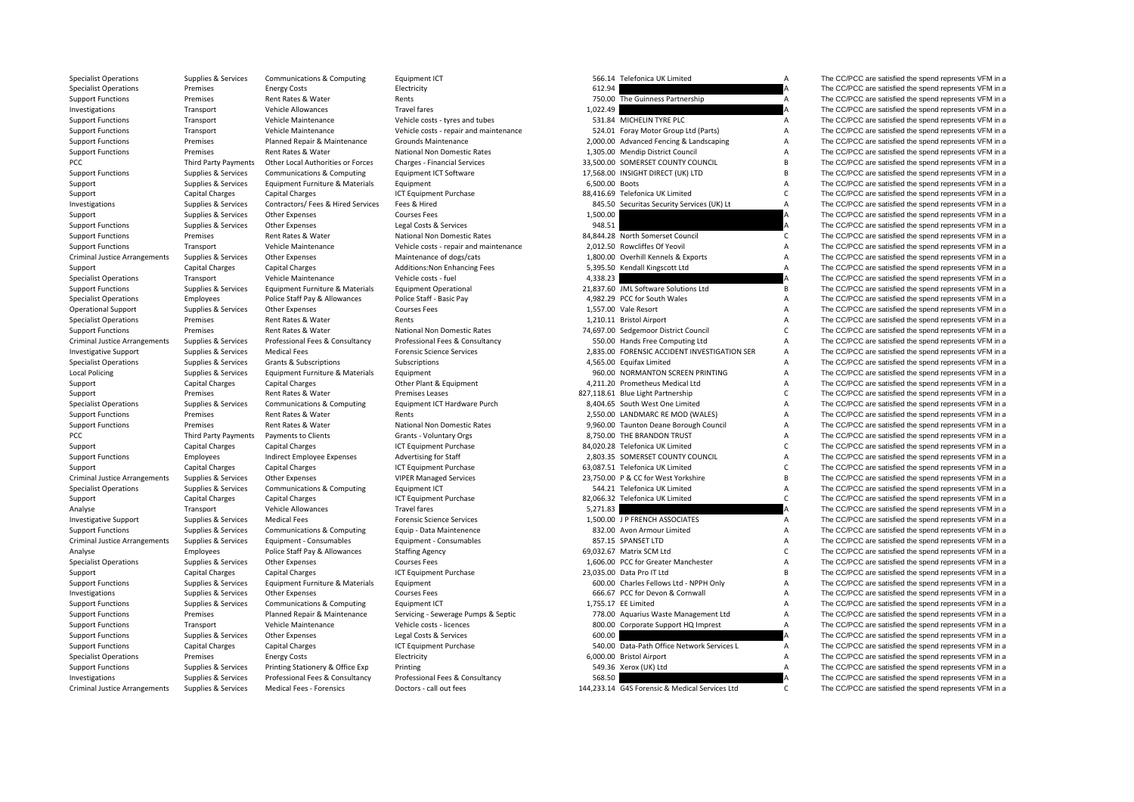| <b>Specialist Operations</b>         | Supplies & Services    | Communications & Computing         | Equipment ICT                          |                | 566.14 Telefonica UK Limited                 | A              | The CC/PCC are satisfied the spend represents VFM in a |
|--------------------------------------|------------------------|------------------------------------|----------------------------------------|----------------|----------------------------------------------|----------------|--------------------------------------------------------|
| <b>Specialist Operations</b>         | Premises               | <b>Energy Costs</b>                | Electricity                            | 612.94         |                                              |                | The CC/PCC are satisfied the spend represents VFM in a |
| <b>Support Functions</b>             | Premises               | Rent Rates & Water                 | Rents                                  |                | 750.00 The Guinness Partnership              | A              | The CC/PCC are satisfied the spend represents VFM in a |
| Investigations                       | Transport              | Vehicle Allowances                 | <b>Travel fares</b>                    | 1,022.49       |                                              |                | The CC/PCC are satisfied the spend represents VFM in a |
| <b>Support Functions</b>             | Transport              | Vehicle Maintenance                | Vehicle costs - tyres and tubes        |                | 531.84 MICHELIN TYRE PLC                     | A              | The CC/PCC are satisfied the spend represents VFM in a |
| <b>Support Functions</b>             | Transport              | Vehicle Maintenance                | Vehicle costs - repair and maintenance |                | 524.01 Foray Motor Group Ltd (Parts)         | A              | The CC/PCC are satisfied the spend represents VFM in a |
| <b>Support Functions</b>             | Premises               | Planned Repair & Maintenance       | <b>Grounds Maintenance</b>             |                | 2,000.00 Advanced Fencing & Landscaping      | A              | The CC/PCC are satisfied the spend represents VFM in a |
| <b>Support Functions</b>             | Premises               | Rent Rates & Water                 | National Non Domestic Rates            |                | 1,305.00 Mendip District Council             | A              | The CC/PCC are satisfied the spend represents VFM in a |
| PCC                                  | Third Party Payments   | Other Local Authorities or Forces  | Charges - Financial Services           |                | 33,500.00 SOMERSET COUNTY COUNCIL            | B              | The CC/PCC are satisfied the spend represents VFM in a |
| <b>Support Functions</b>             | Supplies & Services    | Communications & Computing         | Equipment ICT Software                 |                | 17,568.00 INSIGHT DIRECT (UK) LTD            | B              | The CC/PCC are satisfied the spend represents VFM in a |
| Support                              | Supplies & Services    | Equipment Furniture & Materials    | Equipment                              | 6,500.00 Boots |                                              | $\overline{A}$ | The CC/PCC are satisfied the spend represents VFM in a |
| Support                              | Capital Charges        | <b>Capital Charges</b>             | ICT Equipment Purchase                 |                | 88,416.69 Telefonica UK Limited              | $\mathsf{C}$   | The CC/PCC are satisfied the spend represents VFM in a |
| Investigations                       | Supplies & Services    | Contractors/ Fees & Hired Services | Fees & Hired                           |                | 845.50 Securitas Security Services (UK) Lt   | A              | The CC/PCC are satisfied the spend represents VFM in a |
| Support                              | Supplies & Services    | Other Expenses                     | <b>Courses Fees</b>                    | 1,500.00       |                                              | A              | The CC/PCC are satisfied the spend represents VFM in a |
| <b>Support Functions</b>             | Supplies & Services    | Other Expenses                     | Legal Costs & Services                 | 948.51         |                                              | A              | The CC/PCC are satisfied the spend represents VFM in a |
| <b>Support Functions</b>             | Premises               | Rent Rates & Water                 | National Non Domestic Rates            |                | 84,844.28 North Somerset Council             | $\mathsf{C}$   | The CC/PCC are satisfied the spend represents VFM in a |
| <b>Support Functions</b>             | Transport              | Vehicle Maintenance                | Vehicle costs - repair and maintenance |                | 2,012.50 Rowcliffes Of Yeovil                | A              | The CC/PCC are satisfied the spend represents VFM in a |
| <b>Criminal Justice Arrangements</b> | Supplies & Services    | Other Expenses                     | Maintenance of dogs/cats               |                | 1,800.00 Overhill Kennels & Exports          | $\overline{A}$ | The CC/PCC are satisfied the spend represents VFM in a |
| Support                              | <b>Capital Charges</b> | <b>Capital Charges</b>             | Additions: Non Enhancing Fees          |                | 5,395.50 Kendall Kingscott Ltd               | A              | The CC/PCC are satisfied the spend represents VFM in a |
| <b>Specialist Operations</b>         | Transport              | Vehicle Maintenance                | Vehicle costs - fuel                   | 4,338.23       |                                              |                | The CC/PCC are satisfied the spend represents VFM in a |
| <b>Support Functions</b>             | Supplies & Services    | Equipment Furniture & Materials    | <b>Equipment Operational</b>           |                | 21,837.60 JML Software Solutions Ltd         | B              | The CC/PCC are satisfied the spend represents VFM in a |
| <b>Specialist Operations</b>         | Employees              | Police Staff Pay & Allowances      | Police Staff - Basic Pay               |                | 4,982.29 PCC for South Wales                 | A              | The CC/PCC are satisfied the spend represents VFM in a |
| <b>Operational Support</b>           | Supplies & Services    | Other Expenses                     | <b>Courses Fees</b>                    |                | 1,557.00 Vale Resort                         | A              | The CC/PCC are satisfied the spend represents VFM in a |
| <b>Specialist Operations</b>         | Premises               | Rent Rates & Water                 | Rents                                  |                | 1,210.11 Bristol Airport                     | A              | The CC/PCC are satisfied the spend represents VFM in a |
| <b>Support Functions</b>             | Premises               | Rent Rates & Water                 | National Non Domestic Rates            |                | 74,697.00 Sedgemoor District Council         | $\mathsf{C}$   | The CC/PCC are satisfied the spend represents VFM in a |
| <b>Criminal Justice Arrangements</b> | Supplies & Services    | Professional Fees & Consultancy    | Professional Fees & Consultancy        |                | 550.00 Hands Free Computing Ltd              | A              | The CC/PCC are satisfied the spend represents VFM in a |
| <b>Investigative Support</b>         | Supplies & Services    | <b>Medical Fees</b>                | <b>Forensic Science Services</b>       |                | 2,835.00 FORENSIC ACCIDENT INVESTIGATION SER | $\overline{A}$ | The CC/PCC are satisfied the spend represents VFM in a |
| <b>Specialist Operations</b>         | Supplies & Services    | Grants & Subscriptions             | Subscriptions                          |                | 4,565.00 Equifax Limited                     | $\overline{A}$ | The CC/PCC are satisfied the spend represents VFM in a |
| <b>Local Policing</b>                | Supplies & Services    | Equipment Furniture & Materials    | Equipment                              |                | 960.00 NORMANTON SCREEN PRINTING             | $\overline{A}$ | The CC/PCC are satisfied the spend represents VFM in a |
| Support                              | Capital Charges        | <b>Capital Charges</b>             | Other Plant & Equipment                |                | 4,211.20 Prometheus Medical Ltd              | A              | The CC/PCC are satisfied the spend represents VFM in a |
| Support                              | Premises               | Rent Rates & Water                 | <b>Premises Leases</b>                 |                | 827,118.61 Blue Light Partnership            | $\mathsf{C}$   | The CC/PCC are satisfied the spend represents VFM in a |
| <b>Specialist Operations</b>         | Supplies & Services    | Communications & Computing         | Equipment ICT Hardware Purch           |                | 8,404.65 South West One Limited              | A              | The CC/PCC are satisfied the spend represents VFM in a |
| <b>Support Functions</b>             | Premises               | Rent Rates & Water                 | Rents                                  |                | 2,550.00 LANDMARC RE MOD (WALES)             | A              | The CC/PCC are satisfied the spend represents VFM in a |
| <b>Support Functions</b>             | Premises               | Rent Rates & Water                 | National Non Domestic Rates            |                | 9,960.00 Taunton Deane Borough Council       | A              | The CC/PCC are satisfied the spend represents VFM in a |
| PCC                                  | Third Party Payments   | Payments to Clients                | Grants - Voluntary Orgs                |                | 8,750.00 THE BRANDON TRUST                   | $\overline{A}$ | The CC/PCC are satisfied the spend represents VFM in a |
| Support                              | <b>Capital Charges</b> | <b>Capital Charges</b>             | <b>ICT Equipment Purchase</b>          |                | 84.020.28 Telefonica UK Limited              | $\mathsf{C}$   | The CC/PCC are satisfied the spend represents VFM in a |
| <b>Support Functions</b>             | Employees              | Indirect Employee Expenses         | Advertising for Staff                  |                | 2,803.35 SOMERSET COUNTY COUNCIL             | $\overline{A}$ | The CC/PCC are satisfied the spend represents VFM in a |
| Support                              | Capital Charges        | <b>Capital Charges</b>             | <b>ICT Equipment Purchase</b>          |                | 63,087.51 Telefonica UK Limited              | $\mathsf{C}$   | The CC/PCC are satisfied the spend represents VFM in a |
| <b>Criminal Justice Arrangements</b> | Supplies & Services    | Other Expenses                     | <b>VIPER Managed Services</b>          |                | 23,750.00 P & CC for West Yorkshire          | <b>B</b>       | The CC/PCC are satisfied the spend represents VFM in a |
| <b>Specialist Operations</b>         | Supplies & Services    | Communications & Computing         | Equipment ICT                          |                | 544.21 Telefonica UK Limited                 | $\overline{A}$ | The CC/PCC are satisfied the spend represents VFM in a |
| Support                              | Capital Charges        | <b>Capital Charges</b>             | ICT Equipment Purchase                 |                | 82,066.32 Telefonica UK Limited              | $\mathsf{C}$   | The CC/PCC are satisfied the spend represents VFM in a |
| Analyse                              | Transport              | Vehicle Allowances                 | <b>Travel fares</b>                    | 5,271.83       |                                              |                | The CC/PCC are satisfied the spend represents VFM in a |
| <b>Investigative Support</b>         | Supplies & Services    | <b>Medical Fees</b>                | <b>Forensic Science Services</b>       |                | 1,500.00 J P FRENCH ASSOCIATES               | A              | The CC/PCC are satisfied the spend represents VFM in a |
| <b>Support Functions</b>             | Supplies & Services    | Communications & Computing         | Equip - Data Maintenence               |                | 832.00 Avon Armour Limited                   | A              | The CC/PCC are satisfied the spend represents VFM in a |
| <b>Criminal Justice Arrangements</b> | Supplies & Services    | Equipment - Consumables            | Equipment - Consumables                |                | 857.15 SPANSET LTD                           | A              | The CC/PCC are satisfied the spend represents VFM in a |
| Analyse                              | Employees              | Police Staff Pay & Allowances      | <b>Staffing Agency</b>                 |                | 69,032.67 Matrix SCM Ltd                     | $\mathsf{C}$   | The CC/PCC are satisfied the spend represents VFM in a |
| <b>Specialist Operations</b>         | Supplies & Services    | Other Expenses                     | <b>Courses Fees</b>                    |                | 1,606.00 PCC for Greater Manchester          | A              | The CC/PCC are satisfied the spend represents VFM in a |
| Support                              | Capital Charges        | <b>Capital Charges</b>             | ICT Equipment Purchase                 |                | 23,035.00 Data Pro IT Ltd                    | B              | The CC/PCC are satisfied the spend represents VFM in a |
| <b>Support Functions</b>             | Supplies & Services    | Equipment Furniture & Materials    | Equipment                              |                | 600.00 Charles Fellows Ltd - NPPH Only       | $\overline{A}$ | The CC/PCC are satisfied the spend represents VFM in a |
| Investigations                       | Supplies & Services    | Other Expenses                     | <b>Courses Fees</b>                    |                | 666.67 PCC for Devon & Cornwall              | $\overline{A}$ | The CC/PCC are satisfied the spend represents VFM in a |
| <b>Support Functions</b>             | Supplies & Services    | Communications & Computing         | Equipment ICT                          |                | 1.755.17 EE Limited                          | A              | The CC/PCC are satisfied the spend represents VFM in a |
| <b>Support Functions</b>             | Premises               | Planned Repair & Maintenance       | Servicing - Sewerage Pumps & Septic    |                | 778.00 Aquarius Waste Management Ltd         | A              | The CC/PCC are satisfied the spend represents VFM in a |
| <b>Support Functions</b>             | Transport              | Vehicle Maintenance                | Vehicle costs - licences               |                | 800.00 Corporate Support HQ Imprest          | A              | The CC/PCC are satisfied the spend represents VFM in a |
| <b>Support Functions</b>             | Supplies & Services    | Other Expenses                     | Legal Costs & Services                 | 600.00         |                                              |                | The CC/PCC are satisfied the spend represents VFM in a |
| <b>Support Functions</b>             | Capital Charges        | <b>Capital Charges</b>             | ICT Equipment Purchase                 |                | 540.00 Data-Path Office Network Services L   | A              | The CC/PCC are satisfied the spend represents VFM in a |
| <b>Specialist Operations</b>         | Premises               | <b>Energy Costs</b>                | Electricity                            |                | 6,000.00 Bristol Airport                     | $\overline{A}$ | The CC/PCC are satisfied the spend represents VFM in a |
| <b>Support Functions</b>             | Supplies & Services    | Printing Stationery & Office Exp   | Printing                               |                | 549.36 Xerox (UK) Ltd                        | A              | The CC/PCC are satisfied the spend represents VFM in a |
| Investigations                       | Supplies & Services    | Professional Fees & Consultancy    | Professional Fees & Consultancy        | 568.50         |                                              |                | The CC/PCC are satisfied the spend represents VFM in a |
|                                      |                        |                                    |                                        |                |                                              |                |                                                        |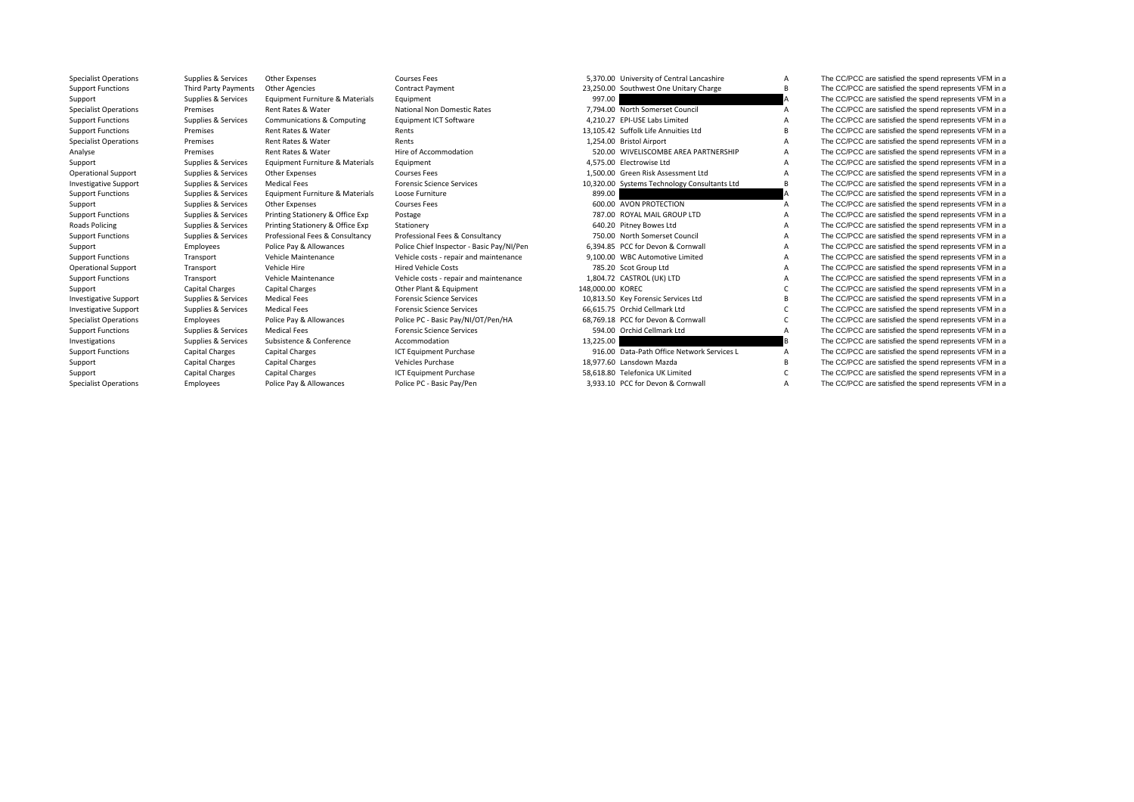**Roads Policing** 

|                | $5,5,0,00$ cannot cross of correction correction |
|----------------|--------------------------------------------------|
|                | 3,250.00 Southwest One Unitary Charge            |
| 997.00         |                                                  |
|                | 7,794.00 North Somerset Council                  |
|                | 4.210.27 EPI-USE Labs Limited                    |
|                | 3,105.42 Suffolk Life Annuities Ltd              |
|                | 1,254.00 Bristol Airport                         |
|                | 520.00 WIVELISCOMBE AREA PARTNERSHIP             |
|                | 4.575.00 Electrowise Ltd                         |
|                | 1.500.00 Green Risk Assessment Ltd               |
|                | 0,320.00 Systems Technology Consultants Ltd      |
| 899.00         |                                                  |
|                | 600.00 AVON PROTECTION                           |
|                | 787.00 ROYAL MAIL GROUP LTD                      |
| 640.20         | Pitney Bowes Ltd                                 |
|                | 750.00 North Somerset Council                    |
|                | 6,394.85 PCC for Devon & Cornwall                |
|                | 9.100.00 WBC Automotive Limited                  |
|                | 785.20 Scot Group Ltd                            |
|                | 1,804.72 CASTROL (UK) LTD                        |
| 8,000.00 KOREC |                                                  |
|                | 0,813.50 Key Forensic Services Ltd               |
|                | 6,615.75 Orchid Cellmark Ltd                     |
|                | 8.769.18 PCC for Devon & Cornwall                |
|                | 594.00 Orchid Cellmark Ltd                       |
| 3,225.00       |                                                  |
|                | 916.00 Data-Path Office Network Services L       |
|                | 8,977.60 Lansdown Mazda                          |
|                | 8,618.80 Telefonica UK Limited                   |
|                |                                                  |

Specialist Operations Supplies & Services Other Expenses Courses Fees 5,370.00 University of Central Lancashire A The CC/PCC are satisfied the spend represents VFM in a Support Functions Third Party Payments Other Agencies Contract Payment Contract Payment 23,250.00 Southwest One Unitary Charge B The CC/PCC are satisfied the spend represents VFM in a support of the spend represents VFM in Support Supplies & Services Equipment Furniture & Materials Equipment Function Equipment 997.00 A The CC/PCC are satisfied the spend represents VFM in a Specialist Operations Premises Rent Rates & Water National Non Domestic Rates 7,794.00 North Somerset Council A The CC/PCC are satisfied the spend represents VFM in a Support Functions Supplies & Services Communications & Computing Equipment ICT Software 4,210.27 EPI-USE Labs Limited A The CC/PCC are satisfied the spend represents VFM in a Support Functions Premises Rent Rates & Water Rents Rents Rents Rents 13,105.42 Suffolk Life Annuities Ltd B The CC/PCC are satisfied the spend represents VFM in a Specialist Operations Specialist Operations Premises Rent Rates & Water Rents Rents Rents Rents Rents Rent Rates Rent Rates Rent Rent Rents Rents 1,254.00 Bristol Airport A The CC/PCC are satisfied the spend represents VFM Analyse Premises Rent Rates & Water Hire of Accommodation Hire and the S20.00 WIVELISCOMBE AREA PARTNERSHIP A The CC/PCC are satisfied the spend represents VFM in a Support Supplies & Services Equipment Furniture & Materials Equipment 4,575.00 Electrowise Ltd A The CC/PCC are satisfied the spend represents VFM in a Operational Support Supplies & Services Other Expenses Courses Fees Courses Fees 1,500.00 Green Risk Assessment Ltd A The CC/PCC are satisfied the spend represents VFM in a proportional supplies & Services Other Expenses V Investigative Support Supplies & Services Medical Fees Forensic Science Services Forensic Science Services and Support Support Support Support Support Support Support Support Support Support Support Support Support Support Support Functions Supplies & Services Equipment Furniture & Materials Loose Furniture and the spend of the Services Courses Fees and the Services Courses Fees and the Supplies A The CC/PCC are satisfied the spend represent Support Supplies & Services Other Expenses Courses Fees Courses Fees 600.00 AVON PROTECTION A The CC/PCC are satisfied the spend represents VFM in a Support Functions Supplies & Services Printing Stationery & Office Exp Postage 787.00 NOTAL MAIL GROUP A The CC/PCC are satisfied the spend represents VFM in a represents VFM in a spend represents VFM in a spend represents Policing Supplies & Services Printing Stationery & Office Exp Stationery Supplies and Supplies & Services Printing Stationery & Office Exp Stationery and Supplies A The CC/PCC are satisfied the spend represents VFM in a su A The CC/PCC are satisfied the spend represents VFM in a The CC/PCC are satisfied the spend represents VFM in a Support Employees Police Pay & Allowances Police Chief Inspector - Basic Pay/NI/Pen 6.394.85 PCC for Devon & Cornwall A The CC/PCC are satisfied the spend represents VFM in a Support Functions Transport Vehicle Maintenance Vehicle costs - repair and maintenance 9,100.00 WBC Automotive Limited A The CC/PCC are satisfied the spend represents VFM in a Operational Support Transport Vehicle Hire Metal Hire Hired Vehicle Costs 785.20 Scot Group Ltd A The CC/PCC are satisfied the spend represents VFM in a Support Functions Transport Vehicle Maintenance Vehicle costs - repair and maintenance 1,804.72 CASTROL (UK) LTD A The CC/PCC are satisfied the spend represents VFM in a Support Capital Charges Capital Charges Capital Charges Other Plant & Equipment 148,000.00 KOREC C The CC/PCC are satisfied the spend represents VFM in a Investigative Support Supplies & Services Medical Fees Forensic Science Services Medical Fees Forensic Science Services 10,813.50 Key Forensic Services Ltd B The CC/PCC are satisfied the spend represents VFM in a Investigative Support Supplies & Services Medical Fees Forensic Science Services Forensic Science Services Forensic Science Services 66,615.75 Orchid Cellmark Ltd C The CC/PCC are satisfied the spend represents VFM in a Specialist Operations Employees Police Pay & Allowances Police PC - Basic Pay/NI/OT/Pen/HA 68,769.18 PCC for Devon & Cornwall C The CC/PCC are satisfied the spend represents VFM in a superations spend represents VFM in a s Support Functions Supplies & Services Medical Fees Forensic Science Services Forensic Science Services Forensic Science Services Forensic Science Services 594.00 Orchid Cellmark Ltd A The CC/PCC are satisfied the spend rep Investigations Supplies & Services Subsistence & Conference Accommodation Accommodation and the spend represents VFM in a spend represents VFM in a spend represents VFM in a spend represents VFM in a spend represents VFM i Support Functions Capital Charges Capital Charges ICT Equipment Purchase 916.00 Data‐Path Office Network Services L A The CC/PCC are satisfied the spend represents VFM in a Support Functions Capital Charges Capital Charges Support Capital Charges Capital Charges Vehicles Purchase 18,977.60 Lansdown Mazda B The CC/PCC are satisfied the spend represents VFM in a Support Capital Charges Capital Charges Capital Charges ICT Equipment Purchase 58,618.80 Telefonica UK Limited C The CC/PCC are satisfied the spend represents VFM in a Specialist Operations Employees Police Pay & Allowances Police PC - Basic Pay/Pen 3,933.10 PCC for Devon & Cornwall A The CC/PCC are satisfied the spend represents VFM in a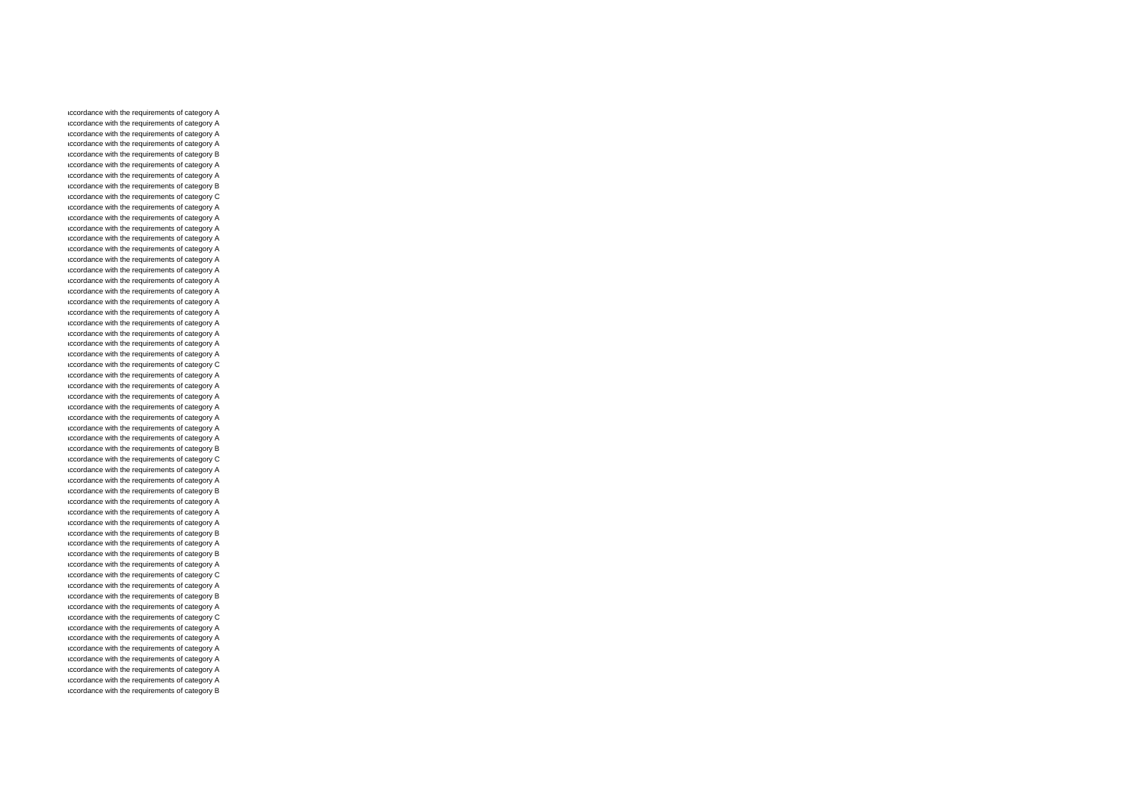accordance with the requirements of category A accordance with the requirements of category A accordance with the requirements of category A accordance with the requirements of category A accordance with the requirements of category B accordance with the requirements of category A accordance with the requirements of category A accordance with the requirements of category B accordance with the requirements of category C accordance with the requirements of category A accordance with the requirements of category A accordance with the requirements of category A accordance with the requirements of category A accordance with the requirements of category A accordance with the requirements of category A accordance with the requirements of category A accordance with the requirements of category A accordance with the requirements of category A accordance with the requirements of category A accordance with the requirements of category A accordance with the requirements of category A accordance with the requirements of category A accordance with the requirements of category A accordance with the requirements of category A accordance with the requirements of category C accordance with the requirements of category A accordance with the requirements of category A accordance with the requirements of category A accordance with the requirements of category A accordance with the requirements of category A accordance with the requirements of category A accordance with the requirements of category A accordance with the requirements of category B accordance with the requirements of category C accordance with the requirements of category A accordance with the requirements of category A accordance with the requirements of category B accordance with the requirements of category A accordance with the requirements of category A accordance with the requirements of category A accordance with the requirements of category B accordance with the requirements of category A accordance with the requirements of category B accordance with the requirements of category A accordance with the requirements of category C accordance with the requirements of category A accordance with the requirements of category B accordance with the requirements of category A accordance with the requirements of category C accordance with the requirements of category A accordance with the requirements of category A accordance with the requirements of category A accordance with the requirements of category A accordance with the requirements of category A accordance with the requirements of category A accordance with the requirements of category B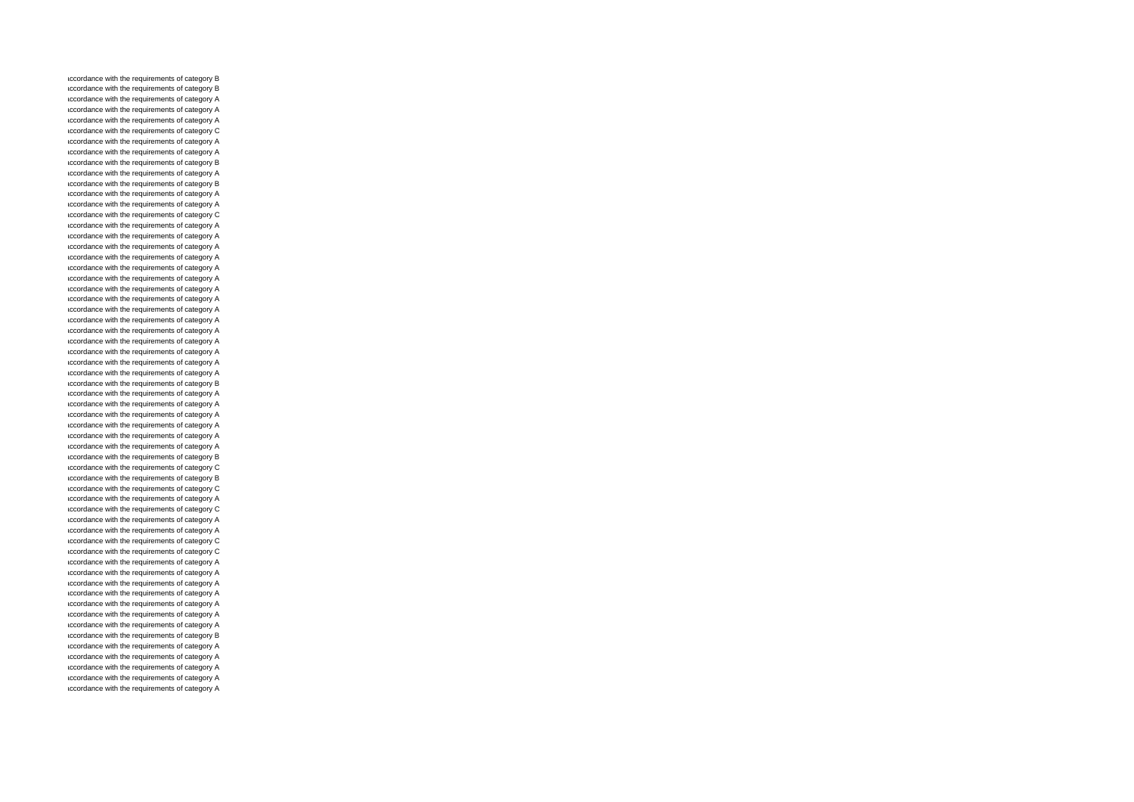accordance with the requirements of category B accordance with the requirements of category B accordance with the requirements of category A accordance with the requirements of category A accordance with the requirements of category A accordance with the requirements of category C accordance with the requirements of category A accordance with the requirements of category A accordance with the requirements of category B accordance with the requirements of category A accordance with the requirements of category B accordance with the requirements of category A accordance with the requirements of category A accordance with the requirements of category C accordance with the requirements of category A accordance with the requirements of category A accordance with the requirements of category A accordance with the requirements of category A accordance with the requirements of category A accordance with the requirements of category A accordance with the requirements of category A accordance with the requirements of category A accordance with the requirements of category A accordance with the requirements of category A accordance with the requirements of category A accordance with the requirements of category A accordance with the requirements of category A accordance with the requirements of category A accordance with the requirements of category A accordance with the requirements of category B accordance with the requirements of category A accordance with the requirements of category A accordance with the requirements of category A accordance with the requirements of category A accordance with the requirements of category A accordance with the requirements of category A accordance with the requirements of category B accordance with the requirements of category C accordance with the requirements of category B accordance with the requirements of category C accordance with the requirements of category A accordance with the requirements of category C accordance with the requirements of category A accordance with the requirements of category A accordance with the requirements of category C accordance with the requirements of category C accordance with the requirements of category A accordance with the requirements of category A accordance with the requirements of category A accordance with the requirements of category A accordance with the requirements of category A accordance with the requirements of category A accordance with the requirements of category A accordance with the requirements of category B accordance with the requirements of category A accordance with the requirements of category A accordance with the requirements of category A accordance with the requirements of category A accordance with the requirements of category A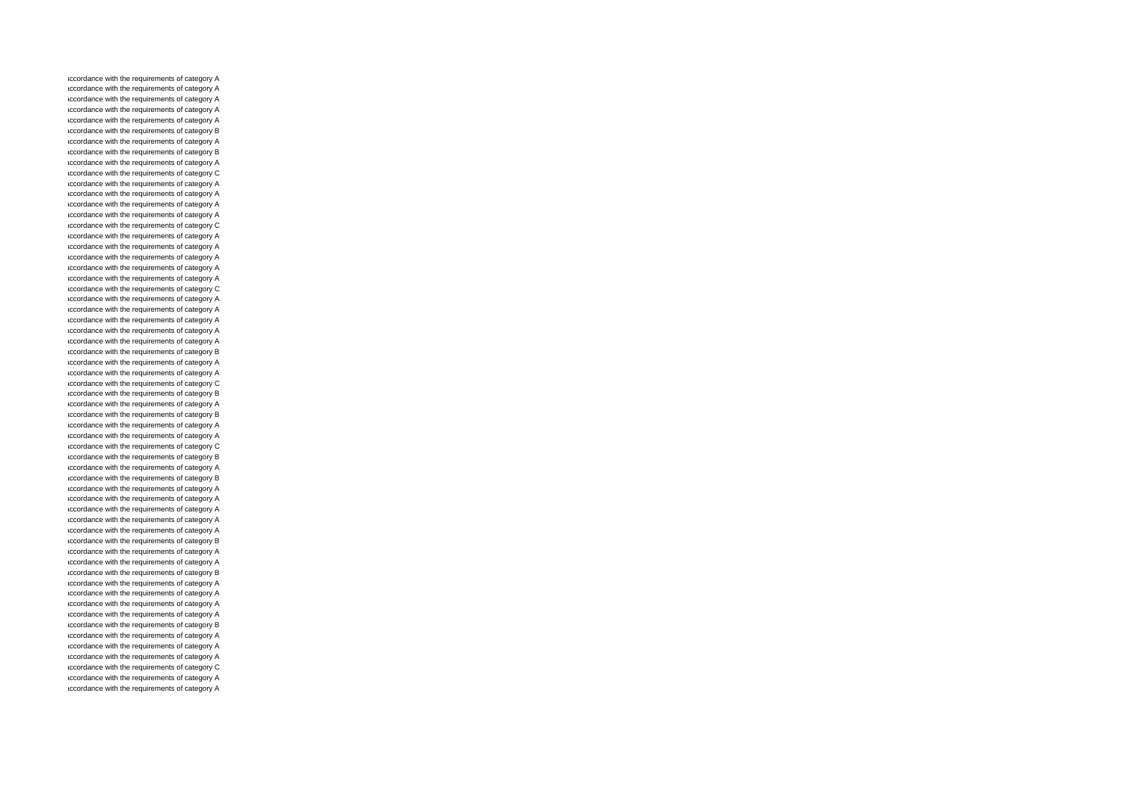accordance with the requirements of category A accordance with the requirements of category A accordance with the requirements of category A accordance with the requirements of category A accordance with the requirements of category A accordance with the requirements of category B accordance with the requirements of category A accordance with the requirements of category B accordance with the requirements of category A accordance with the requirements of category C accordance with the requirements of category A accordance with the requirements of category A accordance with the requirements of category A accordance with the requirements of category A accordance with the requirements of category C accordance with the requirements of category A accordance with the requirements of category A accordance with the requirements of category A accordance with the requirements of category A accordance with the requirements of category A accordance with the requirements of category C accordance with the requirements of category A accordance with the requirements of category A accordance with the requirements of category A accordance with the requirements of category A accordance with the requirements of category A accordance with the requirements of category B accordance with the requirements of category A accordance with the requirements of category A accordance with the requirements of category C accordance with the requirements of category B accordance with the requirements of category A accordance with the requirements of category B accordance with the requirements of category A accordance with the requirements of category A accordance with the requirements of category C accordance with the requirements of category B accordance with the requirements of category A accordance with the requirements of category B accordance with the requirements of category A accordance with the requirements of category A accordance with the requirements of category A accordance with the requirements of category A accordance with the requirements of category A accordance with the requirements of category B accordance with the requirements of category A accordance with the requirements of category A accordance with the requirements of category B accordance with the requirements of category A accordance with the requirements of category A accordance with the requirements of category A accordance with the requirements of category A accordance with the requirements of category B accordance with the requirements of category A accordance with the requirements of category A accordance with the requirements of category A accordance with the requirements of category C accordance with the requirements of category A accordance with the requirements of category A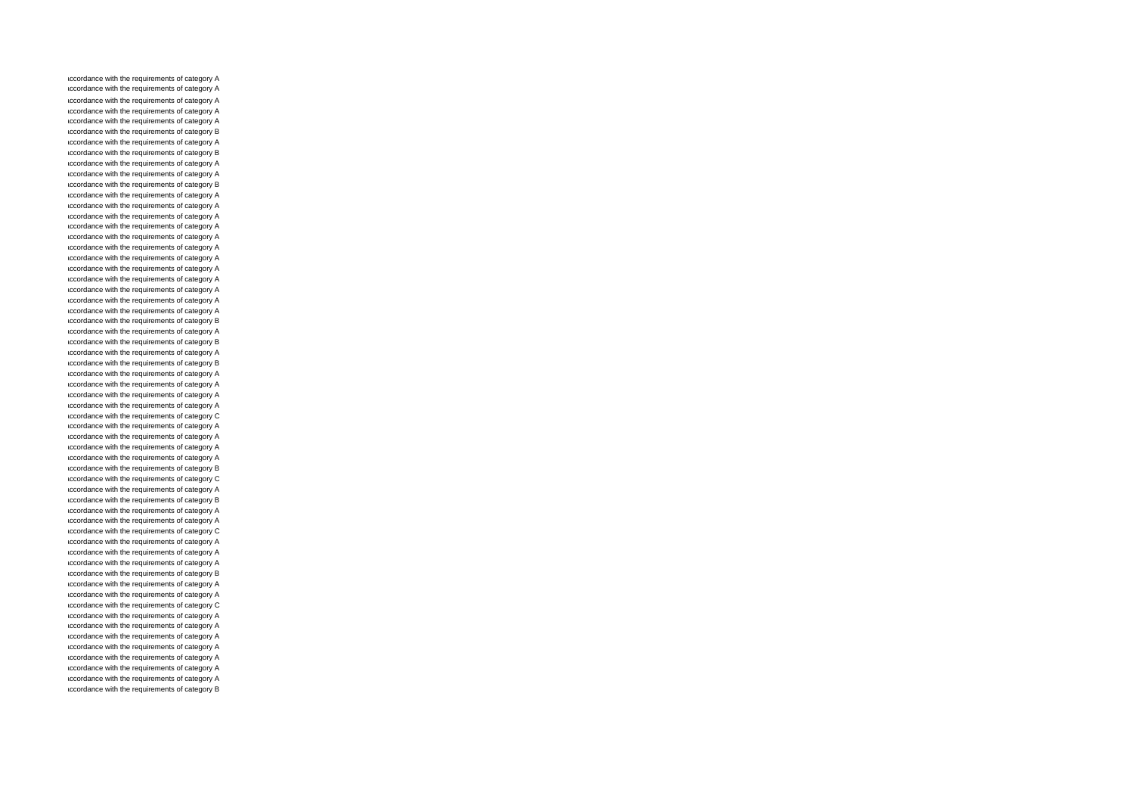accordance with the requirements of category A accordance with the requirements of category A accordance with the requirements of category A accordance with the requirements of category A accordance with the requirements of category A accordance with the requirements of category B accordance with the requirements of category A accordance with the requirements of category B accordance with the requirements of category A accordance with the requirements of category A accordance with the requirements of category B accordance with the requirements of category A accordance with the requirements of category A accordance with the requirements of category A accordance with the requirements of category A accordance with the requirements of category A accordance with the requirements of category A accordance with the requirements of category A accordance with the requirements of category A accordance with the requirements of category A accordance with the requirements of category A accordance with the requirements of category A accordance with the requirements of category A accordance with the requirements of category B accordance with the requirements of category A accordance with the requirements of category B accordance with the requirements of category A accordance with the requirements of category B accordance with the requirements of category A accordance with the requirements of category A accordance with the requirements of category A accordance with the requirements of category A accordance with the requirements of category C accordance with the requirements of category A accordance with the requirements of category A accordance with the requirements of category A accordance with the requirements of category A accordance with the requirements of category B accordance with the requirements of category C accordance with the requirements of category A accordance with the requirements of category B accordance with the requirements of category A accordance with the requirements of category A accordance with the requirements of category C accordance with the requirements of category A accordance with the requirements of category A accordance with the requirements of category A accordance with the requirements of category B accordance with the requirements of category A accordance with the requirements of category A accordance with the requirements of category C accordance with the requirements of category A accordance with the requirements of category A accordance with the requirements of category A accordance with the requirements of category A accordance with the requirements of category A accordance with the requirements of category A accordance with the requirements of category A accordance with the requirements of category B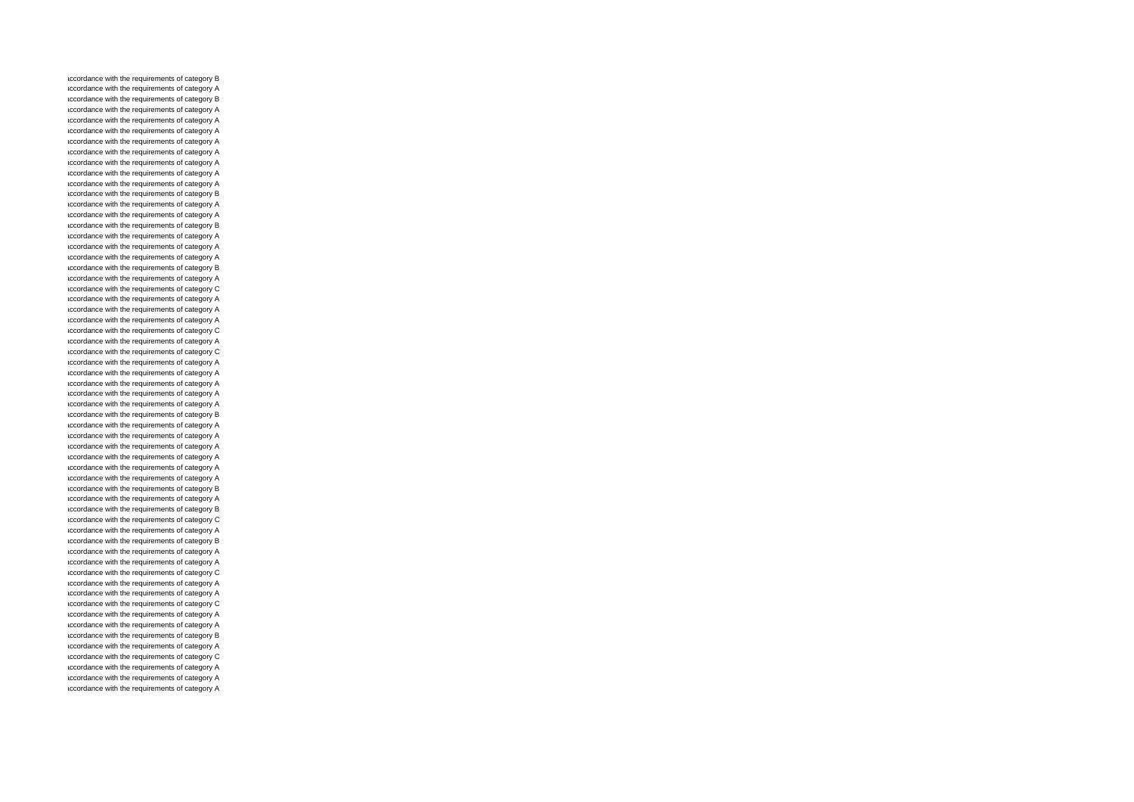accordance with the requirements of category B accordance with the requirements of category A accordance with the requirements of category B accordance with the requirements of category A accordance with the requirements of category A accordance with the requirements of category A accordance with the requirements of category A accordance with the requirements of category A accordance with the requirements of category A accordance with the requirements of category A accordance with the requirements of category A accordance with the requirements of category B accordance with the requirements of category A accordance with the requirements of category A accordance with the requirements of category B accordance with the requirements of category A accordance with the requirements of category A accordance with the requirements of category A accordance with the requirements of category B accordance with the requirements of category A accordance with the requirements of category C accordance with the requirements of category A accordance with the requirements of category A accordance with the requirements of category A accordance with the requirements of category C accordance with the requirements of category A accordance with the requirements of category C accordance with the requirements of category A accordance with the requirements of category A accordance with the requirements of category A accordance with the requirements of category A accordance with the requirements of category A accordance with the requirements of category B accordance with the requirements of category A accordance with the requirements of category A accordance with the requirements of category A accordance with the requirements of category A accordance with the requirements of category A accordance with the requirements of category A accordance with the requirements of category B accordance with the requirements of category A accordance with the requirements of category B accordance with the requirements of category C accordance with the requirements of category A accordance with the requirements of category B accordance with the requirements of category A accordance with the requirements of category A accordance with the requirements of category C accordance with the requirements of category A accordance with the requirements of category A accordance with the requirements of category C accordance with the requirements of category A accordance with the requirements of category A accordance with the requirements of category B accordance with the requirements of category A accordance with the requirements of category C accordance with the requirements of category A accordance with the requirements of category A accordance with the requirements of category A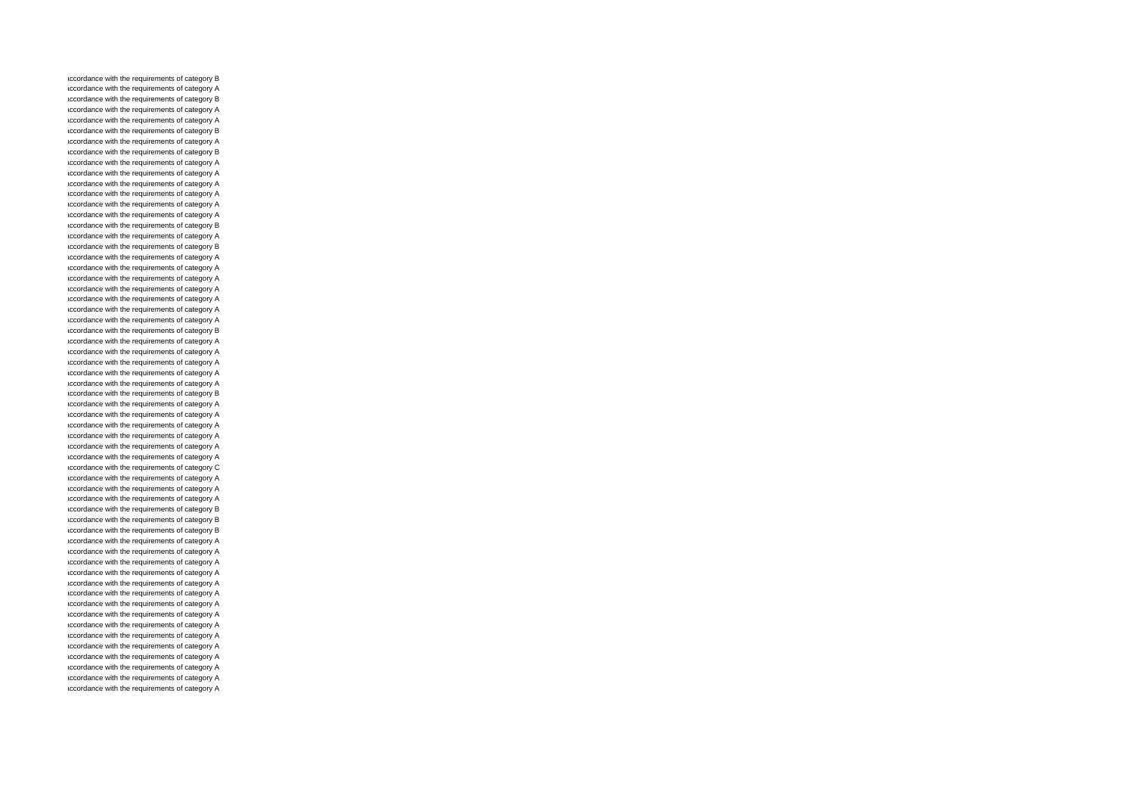accordance with the requirements of category B accordance with the requirements of category A accordance with the requirements of category B accordance with the requirements of category A accordance with the requirements of category A accordance with the requirements of category B accordance with the requirements of category A accordance with the requirements of category B accordance with the requirements of category A accordance with the requirements of category A accordance with the requirements of category A accordance with the requirements of category A accordance with the requirements of category A accordance with the requirements of category A accordance with the requirements of category B accordance with the requirements of category A accordance with the requirements of category B accordance with the requirements of category A accordance with the requirements of category A accordance with the requirements of category A accordance with the requirements of category A accordance with the requirements of category A accordance with the requirements of category A accordance with the requirements of category A accordance with the requirements of category B accordance with the requirements of category A accordance with the requirements of category A accordance with the requirements of category A accordance with the requirements of category A accordance with the requirements of category A accordance with the requirements of category B accordance with the requirements of category A accordance with the requirements of category A accordance with the requirements of category A accordance with the requirements of category A accordance with the requirements of category A accordance with the requirements of category A accordance with the requirements of category C accordance with the requirements of category A accordance with the requirements of category A accordance with the requirements of category A accordance with the requirements of category B accordance with the requirements of category B accordance with the requirements of category B accordance with the requirements of category A accordance with the requirements of category A accordance with the requirements of category A accordance with the requirements of category A accordance with the requirements of category A accordance with the requirements of category A accordance with the requirements of category A accordance with the requirements of category A accordance with the requirements of category A accordance with the requirements of category A accordance with the requirements of category A accordance with the requirements of category A accordance with the requirements of category A accordance with the requirements of category A accordance with the requirements of category A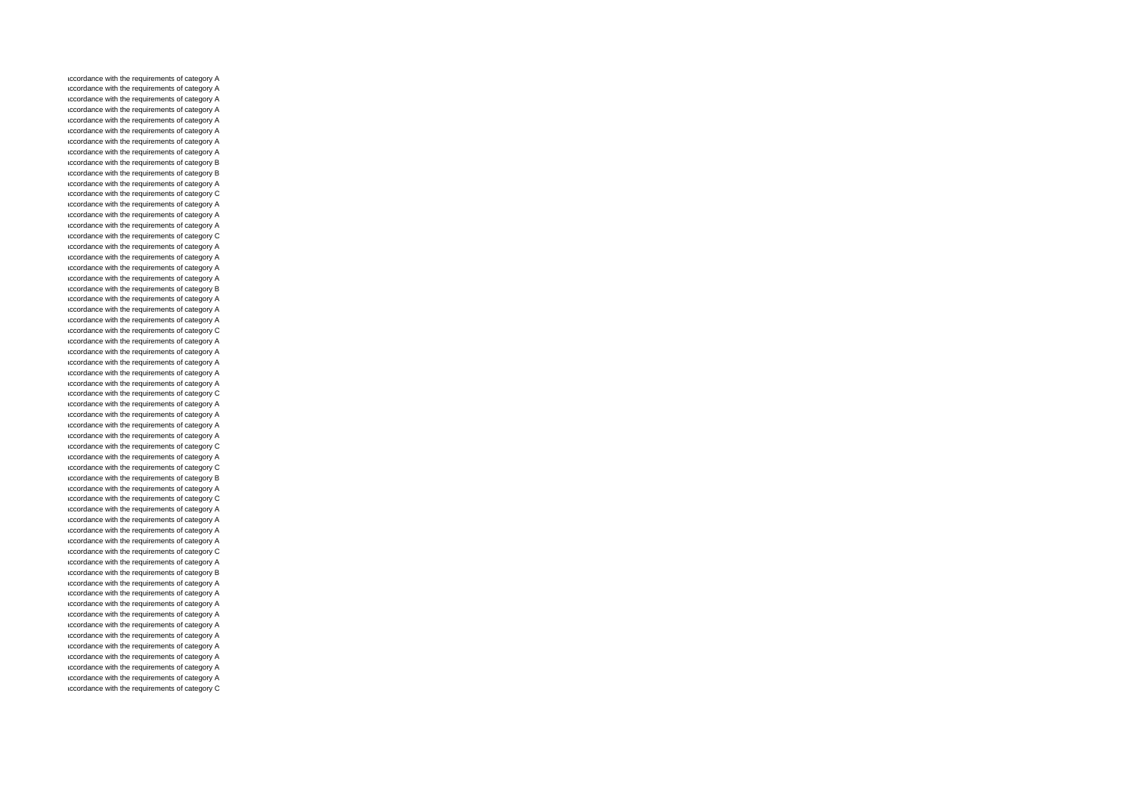accordance with the requirements of category A accordance with the requirements of category A accordance with the requirements of category A accordance with the requirements of category A accordance with the requirements of category A accordance with the requirements of category A accordance with the requirements of category A accordance with the requirements of category A accordance with the requirements of category B accordance with the requirements of category B accordance with the requirements of category A accordance with the requirements of category C accordance with the requirements of category A accordance with the requirements of category A accordance with the requirements of category A accordance with the requirements of category C accordance with the requirements of category A accordance with the requirements of category A accordance with the requirements of category A accordance with the requirements of category A accordance with the requirements of category B accordance with the requirements of category A accordance with the requirements of category A accordance with the requirements of category A accordance with the requirements of category C accordance with the requirements of category A accordance with the requirements of category A accordance with the requirements of category A accordance with the requirements of category A accordance with the requirements of category A accordance with the requirements of category C accordance with the requirements of category A accordance with the requirements of category A accordance with the requirements of category A accordance with the requirements of category A accordance with the requirements of category C accordance with the requirements of category A accordance with the requirements of category C accordance with the requirements of category B accordance with the requirements of category A accordance with the requirements of category C accordance with the requirements of category A accordance with the requirements of category A accordance with the requirements of category A accordance with the requirements of category A accordance with the requirements of category C accordance with the requirements of category A accordance with the requirements of category B accordance with the requirements of category A accordance with the requirements of category A accordance with the requirements of category A accordance with the requirements of category A accordance with the requirements of category A accordance with the requirements of category A accordance with the requirements of category A accordance with the requirements of category A accordance with the requirements of category A accordance with the requirements of category A accordance with the requirements of category C